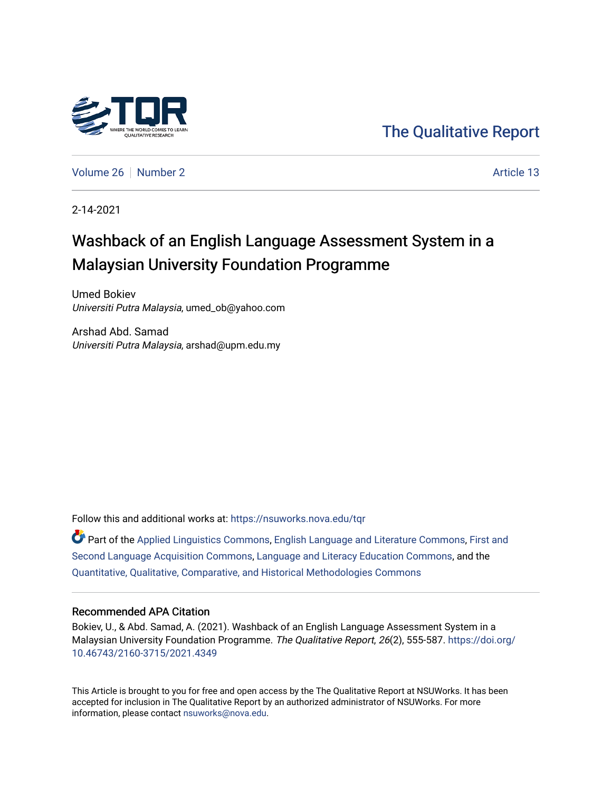

[The Qualitative Report](https://nsuworks.nova.edu/tqr) 

[Volume 26](https://nsuworks.nova.edu/tqr/vol26) [Number 2](https://nsuworks.nova.edu/tqr/vol26/iss2) Article 13

2-14-2021

# Washback of an English Language Assessment System in a Malaysian University Foundation Programme

Umed Bokiev Universiti Putra Malaysia, umed\_ob@yahoo.com

Arshad Abd. Samad Universiti Putra Malaysia, arshad@upm.edu.my

Follow this and additional works at: [https://nsuworks.nova.edu/tqr](https://nsuworks.nova.edu/tqr?utm_source=nsuworks.nova.edu%2Ftqr%2Fvol26%2Fiss2%2F13&utm_medium=PDF&utm_campaign=PDFCoverPages) 

Part of the [Applied Linguistics Commons,](http://network.bepress.com/hgg/discipline/373?utm_source=nsuworks.nova.edu%2Ftqr%2Fvol26%2Fiss2%2F13&utm_medium=PDF&utm_campaign=PDFCoverPages) [English Language and Literature Commons,](http://network.bepress.com/hgg/discipline/455?utm_source=nsuworks.nova.edu%2Ftqr%2Fvol26%2Fiss2%2F13&utm_medium=PDF&utm_campaign=PDFCoverPages) [First and](http://network.bepress.com/hgg/discipline/377?utm_source=nsuworks.nova.edu%2Ftqr%2Fvol26%2Fiss2%2F13&utm_medium=PDF&utm_campaign=PDFCoverPages)  [Second Language Acquisition Commons,](http://network.bepress.com/hgg/discipline/377?utm_source=nsuworks.nova.edu%2Ftqr%2Fvol26%2Fiss2%2F13&utm_medium=PDF&utm_campaign=PDFCoverPages) [Language and Literacy Education Commons,](http://network.bepress.com/hgg/discipline/1380?utm_source=nsuworks.nova.edu%2Ftqr%2Fvol26%2Fiss2%2F13&utm_medium=PDF&utm_campaign=PDFCoverPages) and the [Quantitative, Qualitative, Comparative, and Historical Methodologies Commons](http://network.bepress.com/hgg/discipline/423?utm_source=nsuworks.nova.edu%2Ftqr%2Fvol26%2Fiss2%2F13&utm_medium=PDF&utm_campaign=PDFCoverPages) 

## Recommended APA Citation

Bokiev, U., & Abd. Samad, A. (2021). Washback of an English Language Assessment System in a Malaysian University Foundation Programme. The Qualitative Report, 26(2), 555-587. [https://doi.org/](https://doi.org/10.46743/2160-3715/2021.4349) [10.46743/2160-3715/2021.4349](https://doi.org/10.46743/2160-3715/2021.4349)

This Article is brought to you for free and open access by the The Qualitative Report at NSUWorks. It has been accepted for inclusion in The Qualitative Report by an authorized administrator of NSUWorks. For more information, please contact [nsuworks@nova.edu.](mailto:nsuworks@nova.edu)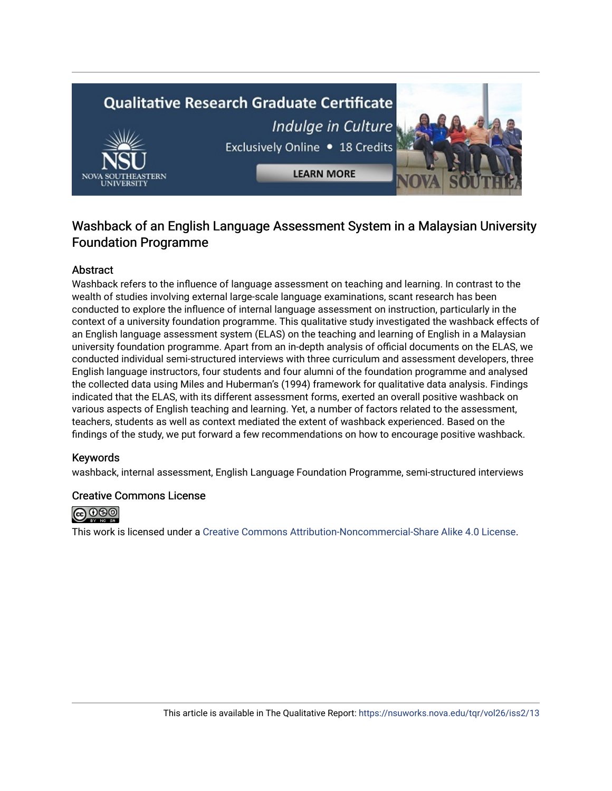# **Qualitative Research Graduate Certificate** Indulge in Culture Exclusively Online . 18 Credits **LEARN MORE**

## Washback of an English Language Assessment System in a Malaysian University Foundation Programme

## Abstract

Washback refers to the influence of language assessment on teaching and learning. In contrast to the wealth of studies involving external large-scale language examinations, scant research has been conducted to explore the influence of internal language assessment on instruction, particularly in the context of a university foundation programme. This qualitative study investigated the washback effects of an English language assessment system (ELAS) on the teaching and learning of English in a Malaysian university foundation programme. Apart from an in-depth analysis of official documents on the ELAS, we conducted individual semi-structured interviews with three curriculum and assessment developers, three English language instructors, four students and four alumni of the foundation programme and analysed the collected data using Miles and Huberman's (1994) framework for qualitative data analysis. Findings indicated that the ELAS, with its different assessment forms, exerted an overall positive washback on various aspects of English teaching and learning. Yet, a number of factors related to the assessment, teachers, students as well as context mediated the extent of washback experienced. Based on the findings of the study, we put forward a few recommendations on how to encourage positive washback.

## Keywords

washback, internal assessment, English Language Foundation Programme, semi-structured interviews

## Creative Commons License



This work is licensed under a [Creative Commons Attribution-Noncommercial-Share Alike 4.0 License](https://creativecommons.org/licenses/by-nc-sa/4.0/).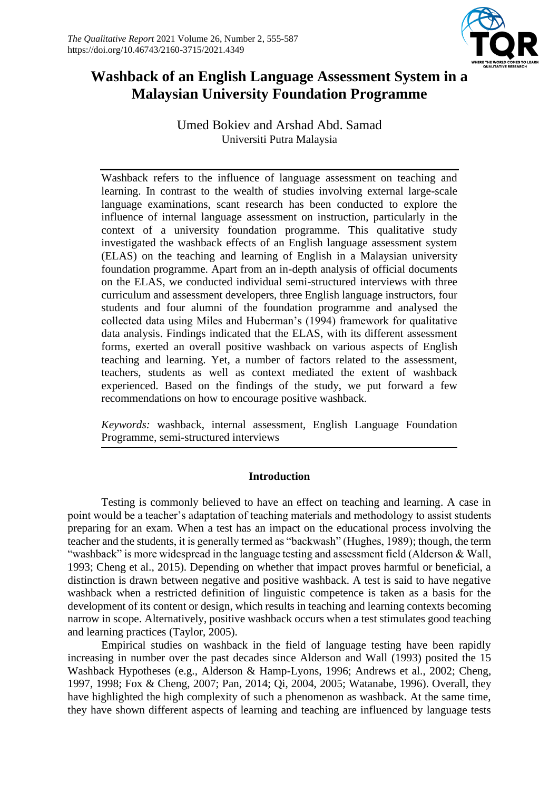

## **Washback of an English Language Assessment System in a Malaysian University Foundation Programme**

Umed Bokiev and Arshad Abd. Samad Universiti Putra Malaysia

Washback refers to the influence of language assessment on teaching and learning. In contrast to the wealth of studies involving external large-scale language examinations, scant research has been conducted to explore the influence of internal language assessment on instruction, particularly in the context of a university foundation programme. This qualitative study investigated the washback effects of an English language assessment system (ELAS) on the teaching and learning of English in a Malaysian university foundation programme. Apart from an in-depth analysis of official documents on the ELAS, we conducted individual semi-structured interviews with three curriculum and assessment developers, three English language instructors, four students and four alumni of the foundation programme and analysed the collected data using Miles and Huberman's (1994) framework for qualitative data analysis. Findings indicated that the ELAS, with its different assessment forms, exerted an overall positive washback on various aspects of English teaching and learning. Yet, a number of factors related to the assessment, teachers, students as well as context mediated the extent of washback experienced. Based on the findings of the study, we put forward a few recommendations on how to encourage positive washback.

*Keywords:* washback, internal assessment, English Language Foundation Programme, semi-structured interviews

## **Introduction**

Testing is commonly believed to have an effect on teaching and learning. A case in point would be a teacher's adaptation of teaching materials and methodology to assist students preparing for an exam. When a test has an impact on the educational process involving the teacher and the students, it is generally termed as "backwash" (Hughes, 1989); though, the term "washback" is more widespread in the language testing and assessment field (Alderson & Wall, 1993; Cheng et al., 2015). Depending on whether that impact proves harmful or beneficial, a distinction is drawn between negative and positive washback. A test is said to have negative washback when a restricted definition of linguistic competence is taken as a basis for the development of its content or design, which results in teaching and learning contexts becoming narrow in scope. Alternatively, positive washback occurs when a test stimulates good teaching and learning practices (Taylor, 2005).

Empirical studies on washback in the field of language testing have been rapidly increasing in number over the past decades since Alderson and Wall (1993) posited the 15 Washback Hypotheses (e.g., Alderson & Hamp-Lyons, 1996; Andrews et al., 2002; Cheng, 1997, 1998; Fox & Cheng, 2007; Pan, 2014; Qi, 2004, 2005; Watanabe, 1996). Overall, they have highlighted the high complexity of such a phenomenon as washback. At the same time, they have shown different aspects of learning and teaching are influenced by language tests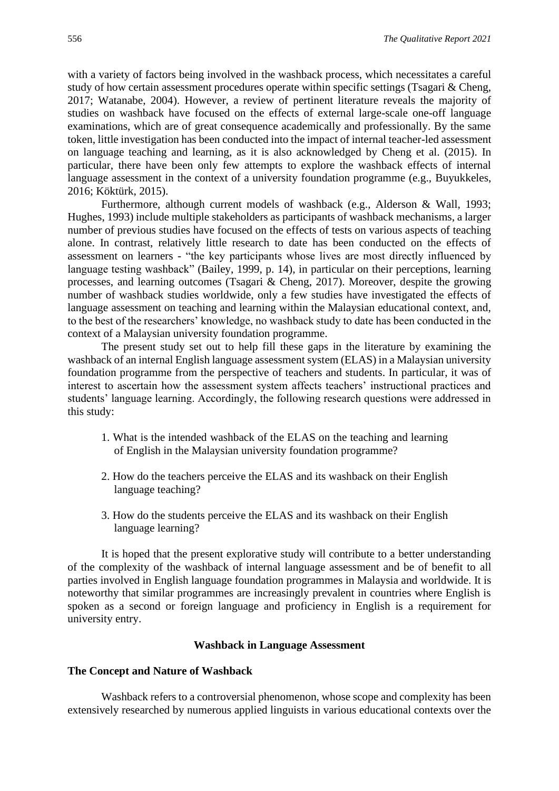with a variety of factors being involved in the washback process, which necessitates a careful study of how certain assessment procedures operate within specific settings (Tsagari & Cheng, 2017; Watanabe, 2004). However, a review of pertinent literature reveals the majority of studies on washback have focused on the effects of external large-scale one-off language examinations, which are of great consequence academically and professionally. By the same token, little investigation has been conducted into the impact of internal teacher-led assessment on language teaching and learning, as it is also acknowledged by Cheng et al. (2015). In particular, there have been only few attempts to explore the washback effects of internal language assessment in the context of a university foundation programme (e.g., Buyukkeles, 2016; Köktürk, 2015).

Furthermore, although current models of washback (e.g., Alderson & Wall, 1993; Hughes, 1993) include multiple stakeholders as participants of washback mechanisms, a larger number of previous studies have focused on the effects of tests on various aspects of teaching alone. In contrast, relatively little research to date has been conducted on the effects of assessment on learners - "the key participants whose lives are most directly influenced by language testing washback" (Bailey, 1999, p. 14), in particular on their perceptions, learning processes, and learning outcomes (Tsagari & Cheng, 2017). Moreover, despite the growing number of washback studies worldwide, only a few studies have investigated the effects of language assessment on teaching and learning within the Malaysian educational context, and, to the best of the researchers' knowledge, no washback study to date has been conducted in the context of a Malaysian university foundation programme.

The present study set out to help fill these gaps in the literature by examining the washback of an internal English language assessment system (ELAS) in a Malaysian university foundation programme from the perspective of teachers and students. In particular, it was of interest to ascertain how the assessment system affects teachers' instructional practices and students' language learning. Accordingly, the following research questions were addressed in this study:

- 1. What is the intended washback of the ELAS on the teaching and learning of English in the Malaysian university foundation programme?
- 2. How do the teachers perceive the ELAS and its washback on their English language teaching?
- 3. How do the students perceive the ELAS and its washback on their English language learning?

It is hoped that the present explorative study will contribute to a better understanding of the complexity of the washback of internal language assessment and be of benefit to all parties involved in English language foundation programmes in Malaysia and worldwide. It is noteworthy that similar programmes are increasingly prevalent in countries where English is spoken as a second or foreign language and proficiency in English is a requirement for university entry.

## **Washback in Language Assessment**

## **The Concept and Nature of Washback**

Washback refers to a controversial phenomenon, whose scope and complexity has been extensively researched by numerous applied linguists in various educational contexts over the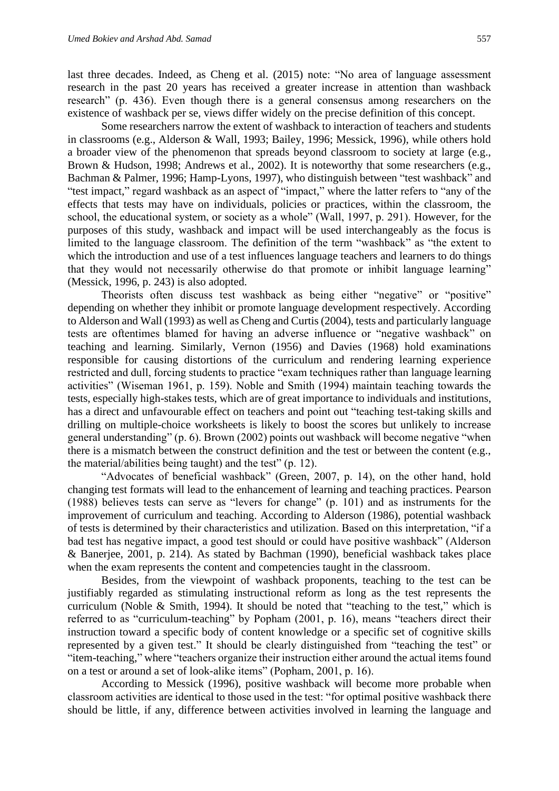last three decades. Indeed, as Cheng et al. (2015) note: "No area of language assessment research in the past 20 years has received a greater increase in attention than washback research" (p. 436). Even though there is a general consensus among researchers on the existence of washback per se, views differ widely on the precise definition of this concept.

Some researchers narrow the extent of washback to interaction of teachers and students in classrooms (e.g., Alderson & Wall, 1993; Bailey, 1996; Messick, 1996), while others hold a broader view of the phenomenon that spreads beyond classroom to society at large (e.g., Brown & Hudson, 1998; Andrews et al., 2002). It is noteworthy that some researchers (e.g., Bachman & Palmer, 1996; Hamp-Lyons, 1997), who distinguish between "test washback" and "test impact," regard washback as an aspect of "impact," where the latter refers to "any of the effects that tests may have on individuals, policies or practices, within the classroom, the school, the educational system, or society as a whole" (Wall, 1997, p. 291). However, for the purposes of this study, washback and impact will be used interchangeably as the focus is limited to the language classroom. The definition of the term "washback" as "the extent to which the introduction and use of a test influences language teachers and learners to do things that they would not necessarily otherwise do that promote or inhibit language learning" (Messick, 1996, p. 243) is also adopted.

Theorists often discuss test washback as being either "negative" or "positive" depending on whether they inhibit or promote language development respectively. According to Alderson and Wall (1993) as well as Cheng and Curtis (2004), tests and particularly language tests are oftentimes blamed for having an adverse influence or "negative washback" on teaching and learning. Similarly, Vernon (1956) and Davies (1968) hold examinations responsible for causing distortions of the curriculum and rendering learning experience restricted and dull, forcing students to practice "exam techniques rather than language learning activities" (Wiseman 1961, p. 159). Noble and Smith (1994) maintain teaching towards the tests, especially high-stakes tests, which are of great importance to individuals and institutions, has a direct and unfavourable effect on teachers and point out "teaching test-taking skills and drilling on multiple-choice worksheets is likely to boost the scores but unlikely to increase general understanding" (p. 6). Brown (2002) points out washback will become negative "when there is a mismatch between the construct definition and the test or between the content (e.g., the material/abilities being taught) and the test" (p. 12).

"Advocates of beneficial washback" (Green, 2007, p. 14), on the other hand, hold changing test formats will lead to the enhancement of learning and teaching practices. Pearson (1988) believes tests can serve as "levers for change" (p. 101) and as instruments for the improvement of curriculum and teaching. According to Alderson (1986), potential washback of tests is determined by their characteristics and utilization. Based on this interpretation, "if a bad test has negative impact, a good test should or could have positive washback" (Alderson & Banerjee, 2001, p. 214). As stated by Bachman (1990), beneficial washback takes place when the exam represents the content and competencies taught in the classroom.

Besides, from the viewpoint of washback proponents, teaching to the test can be justifiably regarded as stimulating instructional reform as long as the test represents the curriculum (Noble & Smith, 1994). It should be noted that "teaching to the test," which is referred to as "curriculum-teaching" by Popham (2001, p. 16), means "teachers direct their instruction toward a specific body of content knowledge or a specific set of cognitive skills represented by a given test." It should be clearly distinguished from "teaching the test" or "item-teaching," where "teachers organize their instruction either around the actual items found on a test or around a set of look-alike items" (Popham, 2001, p. 16).

According to Messick (1996), positive washback will become more probable when classroom activities are identical to those used in the test: "for optimal positive washback there should be little, if any, difference between activities involved in learning the language and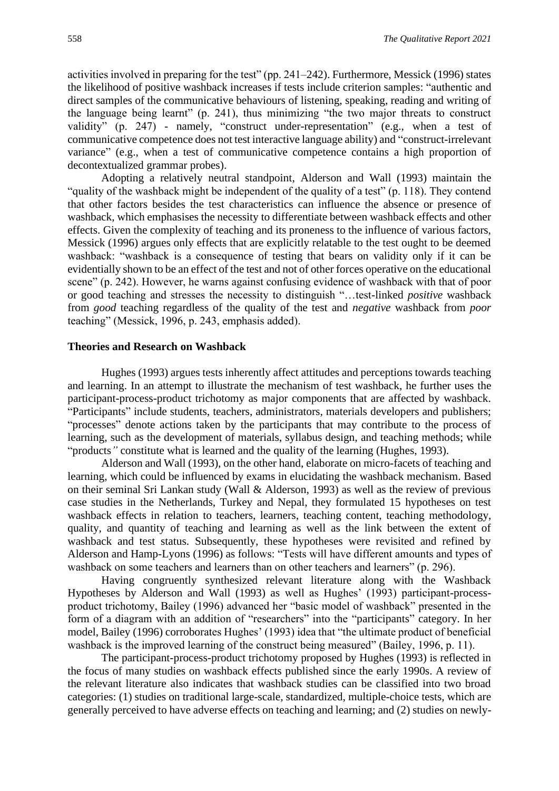activities involved in preparing for the test" (pp. 241–242). Furthermore, Messick (1996) states the likelihood of positive washback increases if tests include criterion samples: "authentic and direct samples of the communicative behaviours of listening, speaking, reading and writing of the language being learnt" (p. 241), thus minimizing "the two major threats to construct validity" (p. 247) - namely, "construct under-representation" (e.g., when a test of communicative competence does not test interactive language ability) and "construct-irrelevant variance" (e.g., when a test of communicative competence contains a high proportion of decontextualized grammar probes).

Adopting a relatively neutral standpoint, Alderson and Wall (1993) maintain the "quality of the washback might be independent of the quality of a test" (p. 118). They contend that other factors besides the test characteristics can influence the absence or presence of washback, which emphasises the necessity to differentiate between washback effects and other effects. Given the complexity of teaching and its proneness to the influence of various factors, Messick (1996) argues only effects that are explicitly relatable to the test ought to be deemed washback: "washback is a consequence of testing that bears on validity only if it can be evidentially shown to be an effect of the test and not of other forces operative on the educational scene" (p. 242). However, he warns against confusing evidence of washback with that of poor or good teaching and stresses the necessity to distinguish "…test-linked *positive* washback from *good* teaching regardless of the quality of the test and *negative* washback from *poor* teaching" (Messick, 1996, p. 243, emphasis added).

## **Theories and Research on Washback**

Hughes (1993) argues tests inherently affect attitudes and perceptions towards teaching and learning. In an attempt to illustrate the mechanism of test washback, he further uses the participant-process-product trichotomy as major components that are affected by washback. "Participants" include students, teachers, administrators, materials developers and publishers; "processes" denote actions taken by the participants that may contribute to the process of learning, such as the development of materials, syllabus design, and teaching methods; while "products*"* constitute what is learned and the quality of the learning (Hughes, 1993).

Alderson and Wall (1993), on the other hand, elaborate on micro-facets of teaching and learning, which could be influenced by exams in elucidating the washback mechanism. Based on their seminal Sri Lankan study (Wall & Alderson, 1993) as well as the review of previous case studies in the Netherlands, Turkey and Nepal, they formulated 15 hypotheses on test washback effects in relation to teachers, learners, teaching content, teaching methodology, quality, and quantity of teaching and learning as well as the link between the extent of washback and test status. Subsequently, these hypotheses were revisited and refined by Alderson and Hamp-Lyons (1996) as follows: "Tests will have different amounts and types of washback on some teachers and learners than on other teachers and learners" (p. 296).

Having congruently synthesized relevant literature along with the Washback Hypotheses by Alderson and Wall (1993) as well as Hughes' (1993) participant-processproduct trichotomy, Bailey (1996) advanced her "basic model of washback" presented in the form of a diagram with an addition of "researchers" into the "participants" category. In her model, Bailey (1996) corroborates Hughes' (1993) idea that "the ultimate product of beneficial washback is the improved learning of the construct being measured" (Bailey, 1996, p. 11).

The participant-process-product trichotomy proposed by Hughes (1993) is reflected in the focus of many studies on washback effects published since the early 1990s. A review of the relevant literature also indicates that washback studies can be classified into two broad categories: (1) studies on traditional large-scale, standardized, multiple-choice tests, which are generally perceived to have adverse effects on teaching and learning; and (2) studies on newly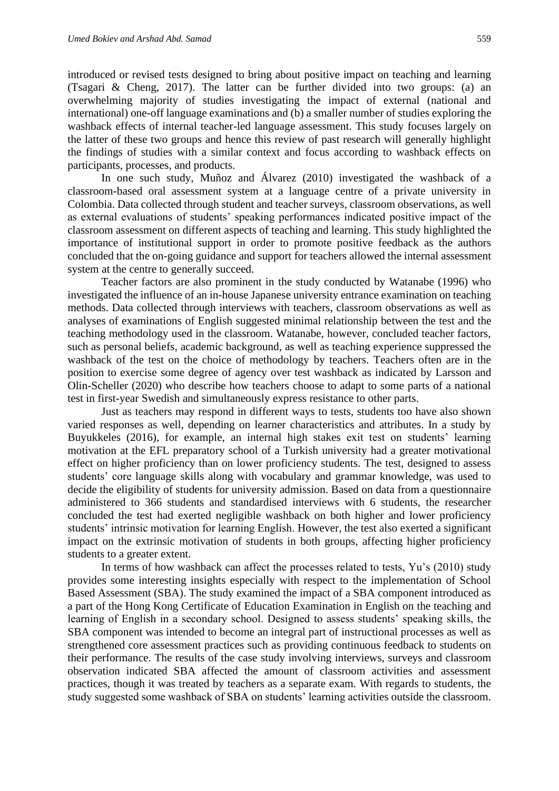introduced or revised tests designed to bring about positive impact on teaching and learning (Tsagari & Cheng, 2017). The latter can be further divided into two groups: (a) an overwhelming majority of studies investigating the impact of external (national and international) one-off language examinations and (b) a smaller number of studies exploring the washback effects of internal teacher-led language assessment. This study focuses largely on the latter of these two groups and hence this review of past research will generally highlight the findings of studies with a similar context and focus according to washback effects on participants, processes, and products.

In one such study, Muñoz and Álvarez (2010) investigated the washback of a classroom-based oral assessment system at a language centre of a private university in Colombia. Data collected through student and teacher surveys, classroom observations, as well as external evaluations of students' speaking performances indicated positive impact of the classroom assessment on different aspects of teaching and learning. This study highlighted the importance of institutional support in order to promote positive feedback as the authors concluded that the on-going guidance and support for teachers allowed the internal assessment system at the centre to generally succeed.

Teacher factors are also prominent in the study conducted by Watanabe (1996) who investigated the influence of an in-house Japanese university entrance examination on teaching methods. Data collected through interviews with teachers, classroom observations as well as analyses of examinations of English suggested minimal relationship between the test and the teaching methodology used in the classroom. Watanabe, however, concluded teacher factors, such as personal beliefs, academic background, as well as teaching experience suppressed the washback of the test on the choice of methodology by teachers. Teachers often are in the position to exercise some degree of agency over test washback as indicated by Larsson and Olin-Scheller (2020) who describe how teachers choose to adapt to some parts of a national test in first-year Swedish and simultaneously express resistance to other parts.

Just as teachers may respond in different ways to tests, students too have also shown varied responses as well, depending on learner characteristics and attributes. In a study by Buyukkeles (2016), for example, an internal high stakes exit test on students' learning motivation at the EFL preparatory school of a Turkish university had a greater motivational effect on higher proficiency than on lower proficiency students. The test, designed to assess students' core language skills along with vocabulary and grammar knowledge, was used to decide the eligibility of students for university admission. Based on data from a questionnaire administered to 366 students and standardised interviews with 6 students, the researcher concluded the test had exerted negligible washback on both higher and lower proficiency students' intrinsic motivation for learning English. However, the test also exerted a significant impact on the extrinsic motivation of students in both groups, affecting higher proficiency students to a greater extent.

In terms of how washback can affect the processes related to tests, Yu's (2010) study provides some interesting insights especially with respect to the implementation of School Based Assessment (SBA). The study examined the impact of a SBA component introduced as a part of the Hong Kong Certificate of Education Examination in English on the teaching and learning of English in a secondary school. Designed to assess students' speaking skills, the SBA component was intended to become an integral part of instructional processes as well as strengthened core assessment practices such as providing continuous feedback to students on their performance. The results of the case study involving interviews, surveys and classroom observation indicated SBA affected the amount of classroom activities and assessment practices, though it was treated by teachers as a separate exam. With regards to students, the study suggested some washback of SBA on students' learning activities outside the classroom.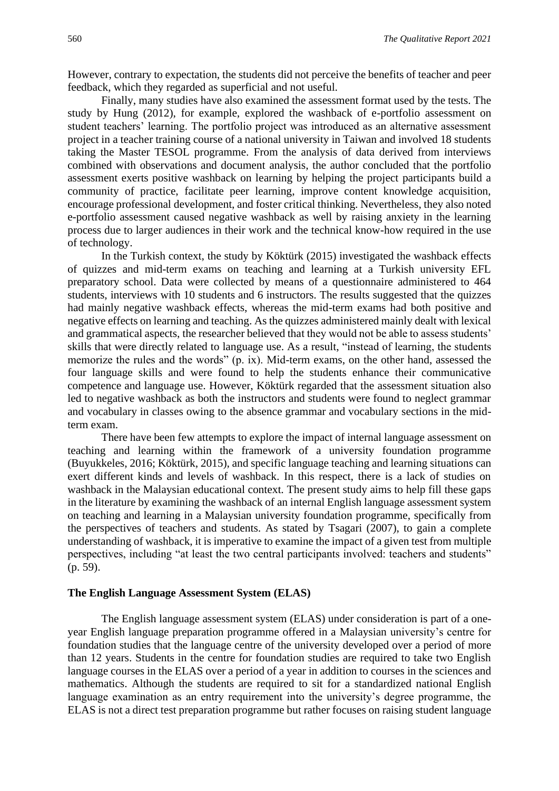However, contrary to expectation, the students did not perceive the benefits of teacher and peer feedback, which they regarded as superficial and not useful.

Finally, many studies have also examined the assessment format used by the tests. The study by Hung (2012), for example, explored the washback of e-portfolio assessment on student teachers' learning. The portfolio project was introduced as an alternative assessment project in a teacher training course of a national university in Taiwan and involved 18 students taking the Master TESOL programme. From the analysis of data derived from interviews combined with observations and document analysis, the author concluded that the portfolio assessment exerts positive washback on learning by helping the project participants build a community of practice, facilitate peer learning, improve content knowledge acquisition, encourage professional development, and foster critical thinking. Nevertheless, they also noted e-portfolio assessment caused negative washback as well by raising anxiety in the learning process due to larger audiences in their work and the technical know-how required in the use of technology.

In the Turkish context, the study by Köktürk (2015) investigated the washback effects of quizzes and mid-term exams on teaching and learning at a Turkish university EFL preparatory school. Data were collected by means of a questionnaire administered to 464 students, interviews with 10 students and 6 instructors. The results suggested that the quizzes had mainly negative washback effects, whereas the mid-term exams had both positive and negative effects on learning and teaching. As the quizzes administered mainly dealt with lexical and grammatical aspects, the researcher believed that they would not be able to assess students' skills that were directly related to language use. As a result, "instead of learning, the students memorize the rules and the words" (p. ix). Mid-term exams, on the other hand, assessed the four language skills and were found to help the students enhance their communicative competence and language use. However, Köktürk regarded that the assessment situation also led to negative washback as both the instructors and students were found to neglect grammar and vocabulary in classes owing to the absence grammar and vocabulary sections in the midterm exam.

There have been few attempts to explore the impact of internal language assessment on teaching and learning within the framework of a university foundation programme (Buyukkeles, 2016; Köktürk, 2015), and specific language teaching and learning situations can exert different kinds and levels of washback. In this respect, there is a lack of studies on washback in the Malaysian educational context. The present study aims to help fill these gaps in the literature by examining the washback of an internal English language assessment system on teaching and learning in a Malaysian university foundation programme, specifically from the perspectives of teachers and students. As stated by Tsagari (2007), to gain a complete understanding of washback, it is imperative to examine the impact of a given test from multiple perspectives, including "at least the two central participants involved: teachers and students" (p. 59).

## **The English Language Assessment System (ELAS)**

The English language assessment system (ELAS) under consideration is part of a oneyear English language preparation programme offered in a Malaysian university's centre for foundation studies that the language centre of the university developed over a period of more than 12 years. Students in the centre for foundation studies are required to take two English language courses in the ELAS over a period of a year in addition to courses in the sciences and mathematics. Although the students are required to sit for a standardized national English language examination as an entry requirement into the university's degree programme, the ELAS is not a direct test preparation programme but rather focuses on raising student language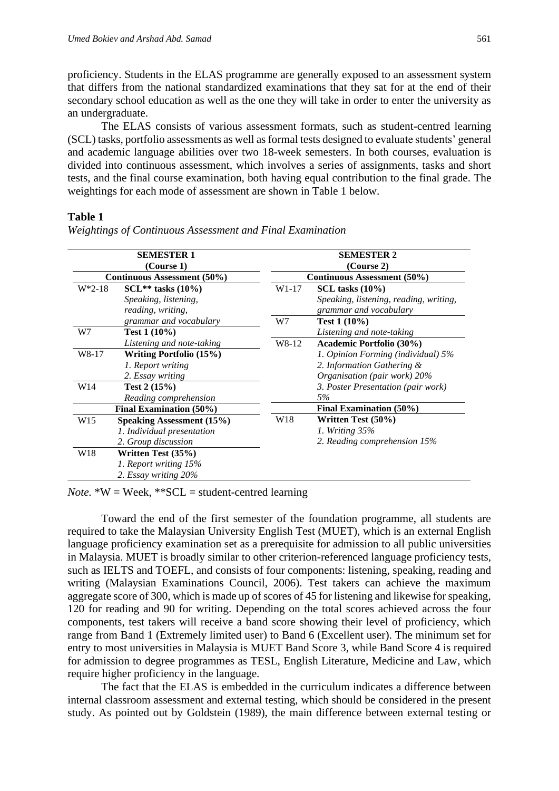proficiency. Students in the ELAS programme are generally exposed to an assessment system that differs from the national standardized examinations that they sat for at the end of their secondary school education as well as the one they will take in order to enter the university as an undergraduate.

The ELAS consists of various assessment formats, such as student-centred learning (SCL) tasks, portfolio assessments as well as formal tests designed to evaluate students' general and academic language abilities over two 18-week semesters. In both courses, evaluation is divided into continuous assessment, which involves a series of assignments, tasks and short tests, and the final course examination, both having equal contribution to the final grade. The weightings for each mode of assessment are shown in Table 1 below.

## **Table 1**

| <b>SEMESTER 1</b><br>(Course 1)    |                                                                                | <b>SEMESTER 2</b><br>(Course 2) |                                                                                                  |  |  |
|------------------------------------|--------------------------------------------------------------------------------|---------------------------------|--------------------------------------------------------------------------------------------------|--|--|
| <b>Continuous Assessment (50%)</b> |                                                                                | Continuous Assessment (50%)     |                                                                                                  |  |  |
| $W^*2-18$                          | $SCL**$ tasks $(10\%)$<br>Speaking, listening,<br>reading, writing,            | W1-17                           | SCL tasks $(10\%)$<br>Speaking, listening, reading, writing,<br>grammar and vocabulary           |  |  |
| W7                                 | grammar and vocabulary<br>Test 1 (10%)                                         | W7                              | Test $1(10\%)$<br>Listening and note-taking                                                      |  |  |
|                                    | Listening and note-taking                                                      | W8-12                           | <b>Academic Portfolio (30%)</b>                                                                  |  |  |
| W8-17                              | <b>Writing Portfolio (15%)</b><br>1. Report writing<br>2. Essay writing        |                                 | 1. Opinion Forming (individual) 5%<br>2. Information Gathering &<br>Organisation (pair work) 20% |  |  |
| W14                                | Test $2(15%)$<br>Reading comprehension                                         |                                 | 3. Poster Presentation (pair work)<br>5%                                                         |  |  |
|                                    | Final Examination (50%)                                                        | Final Examination (50%)         |                                                                                                  |  |  |
| W <sub>15</sub>                    | Speaking Assessment (15%)<br>1. Individual presentation<br>2. Group discussion | W18                             | Written Test $(50\%)$<br>1. Writing $35%$<br>2. Reading comprehension 15%                        |  |  |
| W <sub>18</sub>                    | Written Test (35%)<br>1. Report writing 15%<br>2. Essay writing 20%            |                                 |                                                                                                  |  |  |

*Weightings of Continuous Assessment and Final Examination*

*Note.*  $*W = \text{Week}, **SCL = student-centered learning$ 

Toward the end of the first semester of the foundation programme, all students are required to take the Malaysian University English Test (MUET), which is an external English language proficiency examination set as a prerequisite for admission to all public universities in Malaysia. MUET is broadly similar to other criterion-referenced language proficiency tests, such as IELTS and TOEFL, and consists of four components: listening, speaking, reading and writing (Malaysian Examinations Council, 2006). Test takers can achieve the maximum aggregate score of 300, which is made up of scores of 45 for listening and likewise for speaking, 120 for reading and 90 for writing. Depending on the total scores achieved across the four components, test takers will receive a band score showing their level of proficiency, which range from Band 1 (Extremely limited user) to Band 6 (Excellent user). The minimum set for entry to most universities in Malaysia is MUET Band Score 3, while Band Score 4 is required for admission to degree programmes as TESL, English Literature, Medicine and Law, which require higher proficiency in the language.

The fact that the ELAS is embedded in the curriculum indicates a difference between internal classroom assessment and external testing, which should be considered in the present study. As pointed out by Goldstein (1989), the main difference between external testing or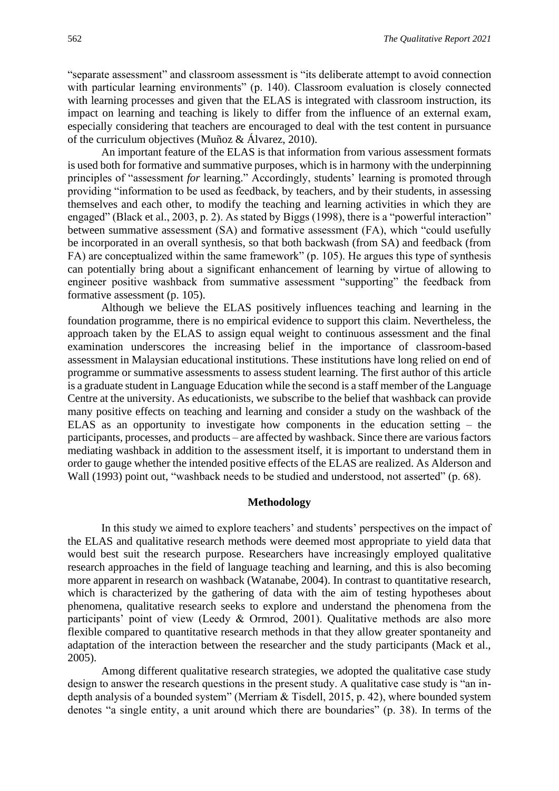"separate assessment" and classroom assessment is "its deliberate attempt to avoid connection with particular learning environments" (p. 140). Classroom evaluation is closely connected with learning processes and given that the ELAS is integrated with classroom instruction, its impact on learning and teaching is likely to differ from the influence of an external exam, especially considering that teachers are encouraged to deal with the test content in pursuance of the curriculum objectives (Muñoz & Álvarez, 2010).

An important feature of the ELAS is that information from various assessment formats is used both for formative and summative purposes, which is in harmony with the underpinning principles of "assessment *for* learning." Accordingly, students' learning is promoted through providing "information to be used as feedback, by teachers, and by their students, in assessing themselves and each other, to modify the teaching and learning activities in which they are engaged" (Black et al., 2003, p. 2). As stated by Biggs (1998), there is a "powerful interaction" between summative assessment (SA) and formative assessment (FA), which "could usefully be incorporated in an overall synthesis, so that both backwash (from SA) and feedback (from FA) are conceptualized within the same framework" (p. 105). He argues this type of synthesis can potentially bring about a significant enhancement of learning by virtue of allowing to engineer positive washback from summative assessment "supporting" the feedback from formative assessment (p. 105).

Although we believe the ELAS positively influences teaching and learning in the foundation programme, there is no empirical evidence to support this claim. Nevertheless, the approach taken by the ELAS to assign equal weight to continuous assessment and the final examination underscores the increasing belief in the importance of classroom-based assessment in Malaysian educational institutions. These institutions have long relied on end of programme or summative assessments to assess student learning. The first author of this article is a graduate student in Language Education while the second is a staff member of the Language Centre at the university. As educationists, we subscribe to the belief that washback can provide many positive effects on teaching and learning and consider a study on the washback of the ELAS as an opportunity to investigate how components in the education setting – the participants, processes, and products – are affected by washback. Since there are various factors mediating washback in addition to the assessment itself, it is important to understand them in order to gauge whether the intended positive effects of the ELAS are realized. As Alderson and Wall (1993) point out, "washback needs to be studied and understood, not asserted" (p. 68).

## **Methodology**

In this study we aimed to explore teachers' and students' perspectives on the impact of the ELAS and qualitative research methods were deemed most appropriate to yield data that would best suit the research purpose. Researchers have increasingly employed qualitative research approaches in the field of language teaching and learning, and this is also becoming more apparent in research on washback (Watanabe, 2004). In contrast to quantitative research, which is characterized by the gathering of data with the aim of testing hypotheses about phenomena, qualitative research seeks to explore and understand the phenomena from the participants' point of view (Leedy & Ormrod, 2001). Qualitative methods are also more flexible compared to quantitative research methods in that they allow greater spontaneity and adaptation of the interaction between the researcher and the study participants (Mack et al., 2005).

Among different qualitative research strategies, we adopted the qualitative case study design to answer the research questions in the present study. A qualitative case study is "an indepth analysis of a bounded system" (Merriam & Tisdell, 2015, p. 42), where bounded system denotes "a single entity, a unit around which there are boundaries" (p. 38). In terms of the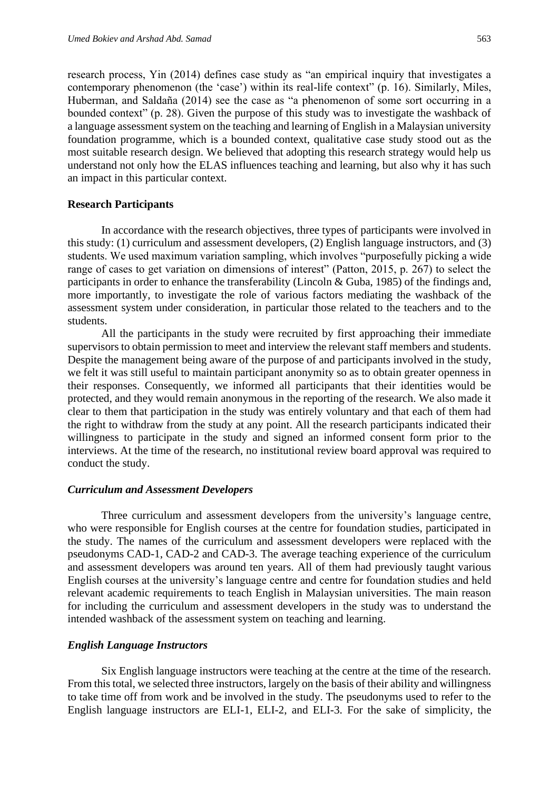research process, Yin (2014) defines case study as "an empirical inquiry that investigates a contemporary phenomenon (the 'case') within its real-life context" (p. 16). Similarly, Miles, Huberman, and Saldaña (2014) see the case as "a phenomenon of some sort occurring in a bounded context" (p. 28). Given the purpose of this study was to investigate the washback of a language assessment system on the teaching and learning of English in a Malaysian university foundation programme, which is a bounded context, qualitative case study stood out as the most suitable research design. We believed that adopting this research strategy would help us understand not only how the ELAS influences teaching and learning, but also why it has such an impact in this particular context.

## **Research Participants**

In accordance with the research objectives, three types of participants were involved in this study: (1) curriculum and assessment developers, (2) English language instructors, and (3) students. We used maximum variation sampling, which involves "purposefully picking a wide range of cases to get variation on dimensions of interest" (Patton, 2015, p. 267) to select the participants in order to enhance the transferability (Lincoln & Guba, 1985) of the findings and, more importantly, to investigate the role of various factors mediating the washback of the assessment system under consideration, in particular those related to the teachers and to the students.

All the participants in the study were recruited by first approaching their immediate supervisors to obtain permission to meet and interview the relevant staff members and students. Despite the management being aware of the purpose of and participants involved in the study, we felt it was still useful to maintain participant anonymity so as to obtain greater openness in their responses. Consequently, we informed all participants that their identities would be protected, and they would remain anonymous in the reporting of the research. We also made it clear to them that participation in the study was entirely voluntary and that each of them had the right to withdraw from the study at any point. All the research participants indicated their willingness to participate in the study and signed an informed consent form prior to the interviews. At the time of the research, no institutional review board approval was required to conduct the study.

#### *Curriculum and Assessment Developers*

Three curriculum and assessment developers from the university's language centre, who were responsible for English courses at the centre for foundation studies, participated in the study. The names of the curriculum and assessment developers were replaced with the pseudonyms CAD-1, CAD-2 and CAD-3. The average teaching experience of the curriculum and assessment developers was around ten years. All of them had previously taught various English courses at the university's language centre and centre for foundation studies and held relevant academic requirements to teach English in Malaysian universities. The main reason for including the curriculum and assessment developers in the study was to understand the intended washback of the assessment system on teaching and learning.

## *English Language Instructors*

Six English language instructors were teaching at the centre at the time of the research. From this total, we selected three instructors, largely on the basis of their ability and willingness to take time off from work and be involved in the study. The pseudonyms used to refer to the English language instructors are ELI-1, ELI-2, and ELI-3. For the sake of simplicity, the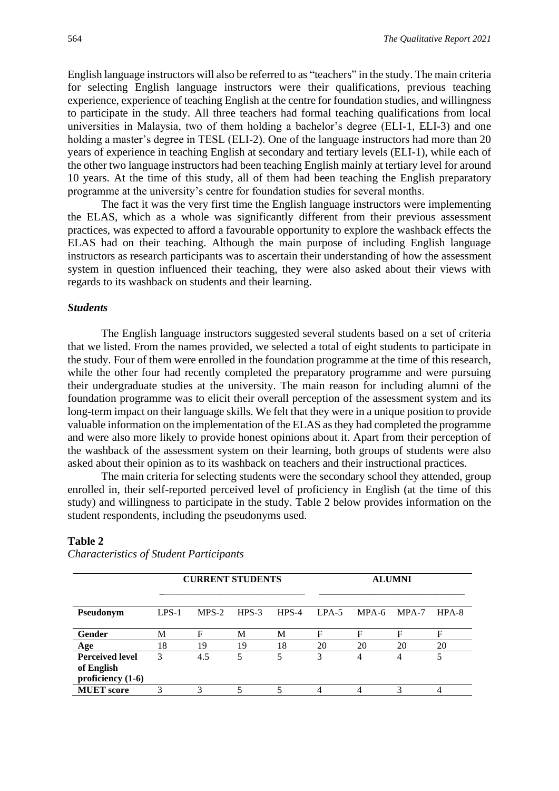English language instructors will also be referred to as "teachers" in the study. The main criteria for selecting English language instructors were their qualifications, previous teaching experience, experience of teaching English at the centre for foundation studies, and willingness to participate in the study. All three teachers had formal teaching qualifications from local universities in Malaysia, two of them holding a bachelor's degree (ELI-1, ELI-3) and one holding a master's degree in TESL (ELI-2). One of the language instructors had more than 20 years of experience in teaching English at secondary and tertiary levels (ELI-1), while each of the other two language instructors had been teaching English mainly at tertiary level for around 10 years. At the time of this study, all of them had been teaching the English preparatory programme at the university's centre for foundation studies for several months.

The fact it was the very first time the English language instructors were implementing the ELAS, which as a whole was significantly different from their previous assessment practices, was expected to afford a favourable opportunity to explore the washback effects the ELAS had on their teaching. Although the main purpose of including English language instructors as research participants was to ascertain their understanding of how the assessment system in question influenced their teaching, they were also asked about their views with regards to its washback on students and their learning.

#### *Students*

The English language instructors suggested several students based on a set of criteria that we listed. From the names provided, we selected a total of eight students to participate in the study. Four of them were enrolled in the foundation programme at the time of this research, while the other four had recently completed the preparatory programme and were pursuing their undergraduate studies at the university. The main reason for including alumni of the foundation programme was to elicit their overall perception of the assessment system and its long-term impact on their language skills. We felt that they were in a unique position to provide valuable information on the implementation of the ELAS as they had completed the programme and were also more likely to provide honest opinions about it. Apart from their perception of the washback of the assessment system on their learning, both groups of students were also asked about their opinion as to its washback on teachers and their instructional practices.

The main criteria for selecting students were the secondary school they attended, group enrolled in, their self-reported perceived level of proficiency in English (at the time of this study) and willingness to participate in the study. Table 2 below provides information on the student respondents, including the pseudonyms used.

|                        | <b>CURRENT STUDENTS</b> |         |         | <b>ALUMNI</b> |         |         |         |         |
|------------------------|-------------------------|---------|---------|---------------|---------|---------|---------|---------|
| Pseudonym              | $LPS-1$                 | $MPS-2$ | $HPS-3$ | $HPS-4$       | $LPA-5$ | $MPA-6$ | $MPA-7$ | $HPA-8$ |
| Gender                 | M                       | F       | M       | M             | F       | F       | F       | F       |
| Age                    | 18                      | 19      | 19      | 18            | 20      | 20      | 20      | 20      |
| <b>Perceived level</b> | 3                       | 4.5     | 5       | 5             | 3       | 4       | 4       |         |
| of English             |                         |         |         |               |         |         |         |         |
| proficiency $(1-6)$    |                         |         |         |               |         |         |         |         |
| <b>MUET</b> score      | 3                       |         |         |               |         | 4       |         | 4       |

#### **Table 2**

*Characteristics of Student Participants*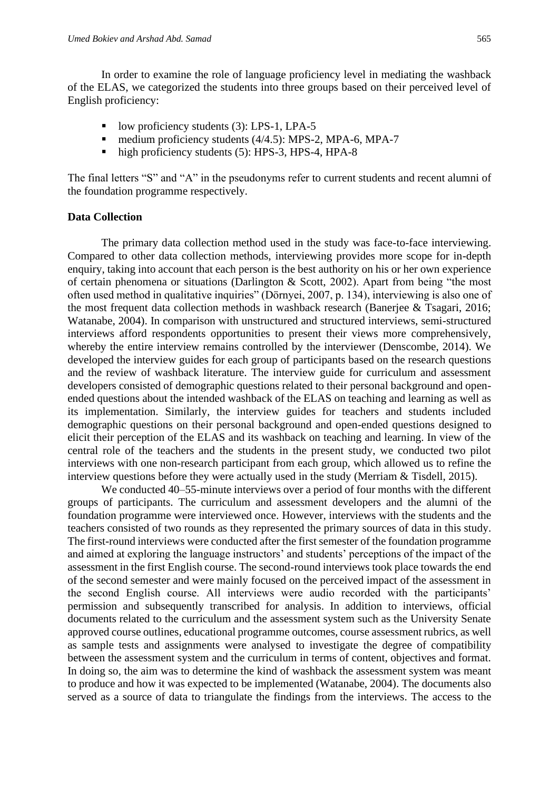In order to examine the role of language proficiency level in mediating the washback of the ELAS, we categorized the students into three groups based on their perceived level of English proficiency:

- low proficiency students (3): LPS-1, LPA-5
- medium proficiency students (4/4.5): MPS-2, MPA-6, MPA-7
- high proficiency students (5): HPS-3, HPS-4, HPA-8

The final letters "S" and "A" in the pseudonyms refer to current students and recent alumni of the foundation programme respectively.

## **Data Collection**

The primary data collection method used in the study was face-to-face interviewing. Compared to other data collection methods, interviewing provides more scope for in-depth enquiry, taking into account that each person is the best authority on his or her own experience of certain phenomena or situations (Darlington & Scott, 2002). Apart from being "the most often used method in qualitative inquiries" (Dörnyei, 2007, p. 134), interviewing is also one of the most frequent data collection methods in washback research (Banerjee & Tsagari, 2016; Watanabe, 2004). In comparison with unstructured and structured interviews, semi-structured interviews afford respondents opportunities to present their views more comprehensively, whereby the entire interview remains controlled by the interviewer (Denscombe, 2014). We developed the interview guides for each group of participants based on the research questions and the review of washback literature. The interview guide for curriculum and assessment developers consisted of demographic questions related to their personal background and openended questions about the intended washback of the ELAS on teaching and learning as well as its implementation. Similarly, the interview guides for teachers and students included demographic questions on their personal background and open-ended questions designed to elicit their perception of the ELAS and its washback on teaching and learning. In view of the central role of the teachers and the students in the present study, we conducted two pilot interviews with one non-research participant from each group, which allowed us to refine the interview questions before they were actually used in the study (Merriam & Tisdell, 2015).

We conducted 40–55-minute interviews over a period of four months with the different groups of participants. The curriculum and assessment developers and the alumni of the foundation programme were interviewed once. However, interviews with the students and the teachers consisted of two rounds as they represented the primary sources of data in this study. The first-round interviews were conducted after the first semester of the foundation programme and aimed at exploring the language instructors' and students' perceptions of the impact of the assessment in the first English course. The second-round interviews took place towards the end of the second semester and were mainly focused on the perceived impact of the assessment in the second English course. All interviews were audio recorded with the participants' permission and subsequently transcribed for analysis. In addition to interviews, official documents related to the curriculum and the assessment system such as the University Senate approved course outlines, educational programme outcomes, course assessment rubrics, as well as sample tests and assignments were analysed to investigate the degree of compatibility between the assessment system and the curriculum in terms of content, objectives and format. In doing so, the aim was to determine the kind of washback the assessment system was meant to produce and how it was expected to be implemented (Watanabe, 2004). The documents also served as a source of data to triangulate the findings from the interviews. The access to the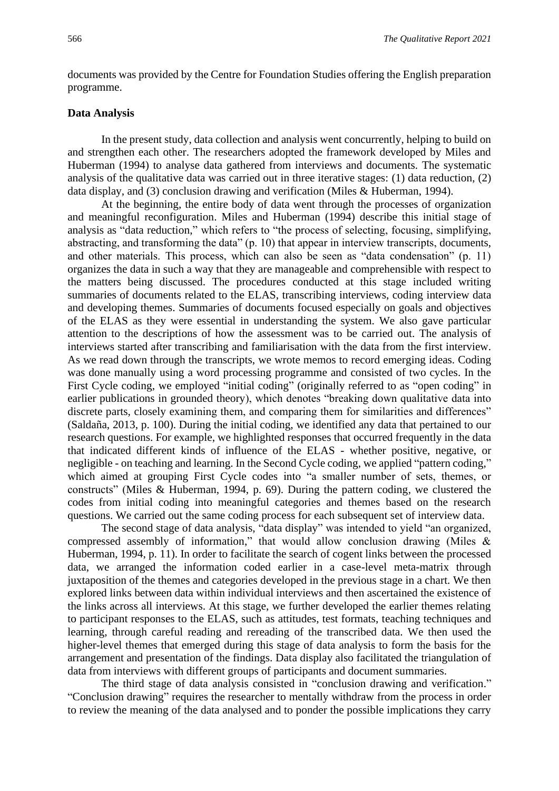documents was provided by the Centre for Foundation Studies offering the English preparation programme.

#### **Data Analysis**

In the present study, data collection and analysis went concurrently, helping to build on and strengthen each other. The researchers adopted the framework developed by Miles and Huberman (1994) to analyse data gathered from interviews and documents. The systematic analysis of the qualitative data was carried out in three iterative stages: (1) data reduction, (2) data display, and (3) conclusion drawing and verification (Miles & Huberman, 1994).

At the beginning, the entire body of data went through the processes of organization and meaningful reconfiguration. Miles and Huberman (1994) describe this initial stage of analysis as "data reduction," which refers to "the process of selecting, focusing, simplifying, abstracting, and transforming the data" (p. 10) that appear in interview transcripts, documents, and other materials. This process, which can also be seen as "data condensation" (p. 11) organizes the data in such a way that they are manageable and comprehensible with respect to the matters being discussed. The procedures conducted at this stage included writing summaries of documents related to the ELAS, transcribing interviews, coding interview data and developing themes. Summaries of documents focused especially on goals and objectives of the ELAS as they were essential in understanding the system. We also gave particular attention to the descriptions of how the assessment was to be carried out. The analysis of interviews started after transcribing and familiarisation with the data from the first interview. As we read down through the transcripts, we wrote memos to record emerging ideas. Coding was done manually using a word processing programme and consisted of two cycles. In the First Cycle coding, we employed "initial coding" (originally referred to as "open coding" in earlier publications in grounded theory), which denotes "breaking down qualitative data into discrete parts, closely examining them, and comparing them for similarities and differences" (Saldaña, 2013, p. 100). During the initial coding, we identified any data that pertained to our research questions. For example, we highlighted responses that occurred frequently in the data that indicated different kinds of influence of the ELAS - whether positive, negative, or negligible - on teaching and learning. In the Second Cycle coding, we applied "pattern coding," which aimed at grouping First Cycle codes into "a smaller number of sets, themes, or constructs" (Miles & Huberman, 1994, p. 69). During the pattern coding, we clustered the codes from initial coding into meaningful categories and themes based on the research questions. We carried out the same coding process for each subsequent set of interview data.

The second stage of data analysis, "data display" was intended to yield "an organized, compressed assembly of information," that would allow conclusion drawing (Miles & Huberman, 1994, p. 11). In order to facilitate the search of cogent links between the processed data, we arranged the information coded earlier in a case-level meta-matrix through juxtaposition of the themes and categories developed in the previous stage in a chart. We then explored links between data within individual interviews and then ascertained the existence of the links across all interviews. At this stage, we further developed the earlier themes relating to participant responses to the ELAS, such as attitudes, test formats, teaching techniques and learning, through careful reading and rereading of the transcribed data. We then used the higher-level themes that emerged during this stage of data analysis to form the basis for the arrangement and presentation of the findings. Data display also facilitated the triangulation of data from interviews with different groups of participants and document summaries.

The third stage of data analysis consisted in "conclusion drawing and verification." "Conclusion drawing" requires the researcher to mentally withdraw from the process in order to review the meaning of the data analysed and to ponder the possible implications they carry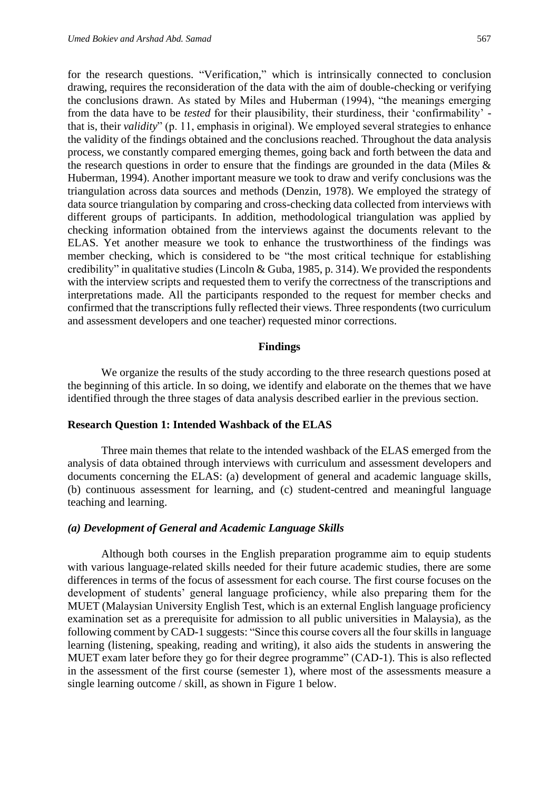for the research questions. "Verification," which is intrinsically connected to conclusion drawing, requires the reconsideration of the data with the aim of double-checking or verifying the conclusions drawn. As stated by Miles and Huberman (1994), "the meanings emerging from the data have to be *tested* for their plausibility, their sturdiness, their 'confirmability' that is, their *validity*" (p. 11, emphasis in original). We employed several strategies to enhance the validity of the findings obtained and the conclusions reached. Throughout the data analysis process, we constantly compared emerging themes, going back and forth between the data and the research questions in order to ensure that the findings are grounded in the data (Miles & Huberman, 1994). Another important measure we took to draw and verify conclusions was the triangulation across data sources and methods (Denzin, 1978). We employed the strategy of data source triangulation by comparing and cross-checking data collected from interviews with different groups of participants. In addition, methodological triangulation was applied by checking information obtained from the interviews against the documents relevant to the ELAS. Yet another measure we took to enhance the trustworthiness of the findings was member checking, which is considered to be "the most critical technique for establishing credibility" in qualitative studies (Lincoln & Guba, 1985, p. 314). We provided the respondents with the interview scripts and requested them to verify the correctness of the transcriptions and interpretations made. All the participants responded to the request for member checks and confirmed that the transcriptions fully reflected their views. Three respondents (two curriculum and assessment developers and one teacher) requested minor corrections.

## **Findings**

We organize the results of the study according to the three research questions posed at the beginning of this article. In so doing, we identify and elaborate on the themes that we have identified through the three stages of data analysis described earlier in the previous section.

## **Research Question 1: Intended Washback of the ELAS**

Three main themes that relate to the intended washback of the ELAS emerged from the analysis of data obtained through interviews with curriculum and assessment developers and documents concerning the ELAS: (a) development of general and academic language skills, (b) continuous assessment for learning, and (c) student-centred and meaningful language teaching and learning.

## *(a) Development of General and Academic Language Skills*

Although both courses in the English preparation programme aim to equip students with various language-related skills needed for their future academic studies, there are some differences in terms of the focus of assessment for each course. The first course focuses on the development of students' general language proficiency, while also preparing them for the MUET (Malaysian University English Test, which is an external English language proficiency examination set as a prerequisite for admission to all public universities in Malaysia), as the following comment by CAD-1 suggests: "Since this course covers all the four skills in language learning (listening, speaking, reading and writing), it also aids the students in answering the MUET exam later before they go for their degree programme" (CAD-1). This is also reflected in the assessment of the first course (semester 1), where most of the assessments measure a single learning outcome / skill, as shown in Figure 1 below.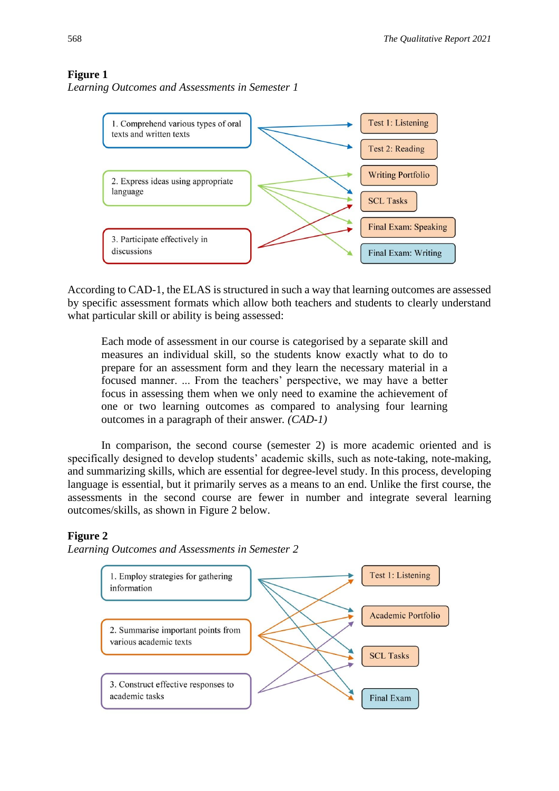## **Figure 1**

*Learning Outcomes and Assessments in Semester 1*



According to CAD-1, the ELAS is structured in such a way that learning outcomes are assessed by specific assessment formats which allow both teachers and students to clearly understand what particular skill or ability is being assessed:

Each mode of assessment in our course is categorised by a separate skill and measures an individual skill, so the students know exactly what to do to prepare for an assessment form and they learn the necessary material in a focused manner. ... From the teachers' perspective, we may have a better focus in assessing them when we only need to examine the achievement of one or two learning outcomes as compared to analysing four learning outcomes in a paragraph of their answer*. (CAD-1)*

In comparison, the second course (semester 2) is more academic oriented and is specifically designed to develop students' academic skills, such as note-taking, note-making, and summarizing skills, which are essential for degree-level study. In this process, developing language is essential, but it primarily serves as a means to an end. Unlike the first course, the assessments in the second course are fewer in number and integrate several learning outcomes/skills, as shown in Figure 2 below.

## **Figure 2**

*Learning Outcomes and Assessments in Semester 2*

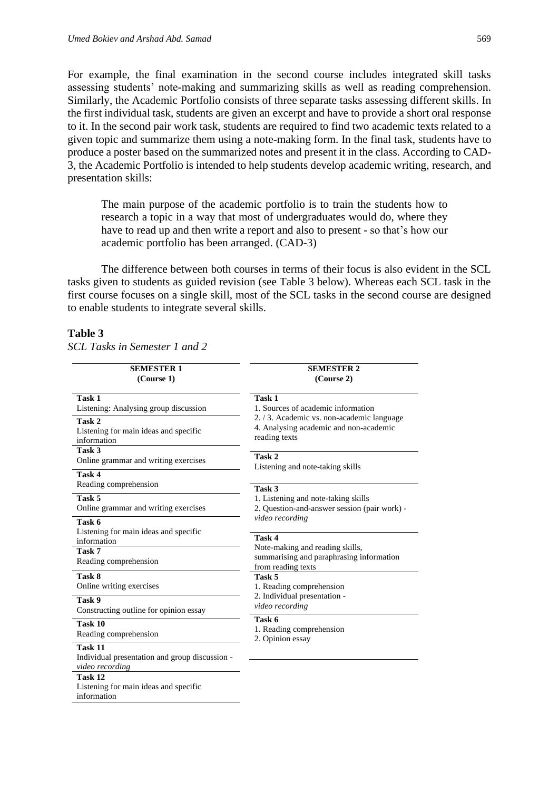For example, the final examination in the second course includes integrated skill tasks assessing students' note-making and summarizing skills as well as reading comprehension. Similarly, the Academic Portfolio consists of three separate tasks assessing different skills. In the first individual task, students are given an excerpt and have to provide a short oral response to it. In the second pair work task, students are required to find two academic texts related to a given topic and summarize them using a note-making form. In the final task, students have to produce a poster based on the summarized notes and present it in the class. According to CAD-3, the Academic Portfolio is intended to help students develop academic writing, research, and presentation skills:

The main purpose of the academic portfolio is to train the students how to research a topic in a way that most of undergraduates would do, where they have to read up and then write a report and also to present - so that's how our academic portfolio has been arranged. (CAD-3)

The difference between both courses in terms of their focus is also evident in the SCL tasks given to students as guided revision (see Table 3 below). Whereas each SCL task in the first course focuses on a single skill, most of the SCL tasks in the second course are designed to enable students to integrate several skills.

## **Table 3**

*SCL Tasks in Semester 1 and 2*

| <b>SEMESTER 1</b><br>(Course 1)                                              | <b>SEMESTER 2</b><br>(Course 2)                                                                                                         |  |  |  |  |
|------------------------------------------------------------------------------|-----------------------------------------------------------------------------------------------------------------------------------------|--|--|--|--|
| Task 1<br>Listening: Analysing group discussion<br>Task 2                    | Task 1<br>1. Sources of academic information<br>2. / 3. Academic vs. non-academic language                                              |  |  |  |  |
| Listening for main ideas and specific<br>information                         | 4. Analysing academic and non-academic<br>reading texts                                                                                 |  |  |  |  |
| Task 3<br>Online grammar and writing exercises                               | Task 2<br>Listening and note-taking skills<br>Task 3                                                                                    |  |  |  |  |
| Task 4<br>Reading comprehension                                              |                                                                                                                                         |  |  |  |  |
| Task 5<br>Online grammar and writing exercises                               | 1. Listening and note-taking skills<br>2. Question-and-answer session (pair work) -                                                     |  |  |  |  |
| Task 6<br>Listening for main ideas and specific<br>information               | video recording<br>Task 4                                                                                                               |  |  |  |  |
| Task 7<br>Reading comprehension                                              | Note-making and reading skills,<br>summarising and paraphrasing information<br>from reading texts<br>Task 5<br>1. Reading comprehension |  |  |  |  |
| Task 8<br>Online writing exercises                                           |                                                                                                                                         |  |  |  |  |
| Task 9<br>Constructing outline for opinion essay                             | 2. Individual presentation -<br>video recording                                                                                         |  |  |  |  |
| Task 10<br>Reading comprehension                                             | Task 6<br>1. Reading comprehension<br>2. Opinion essay                                                                                  |  |  |  |  |
| Task 11<br>Individual presentation and group discussion -<br>video recording |                                                                                                                                         |  |  |  |  |
| Task 12<br>Listening for main ideas and specific<br>information              |                                                                                                                                         |  |  |  |  |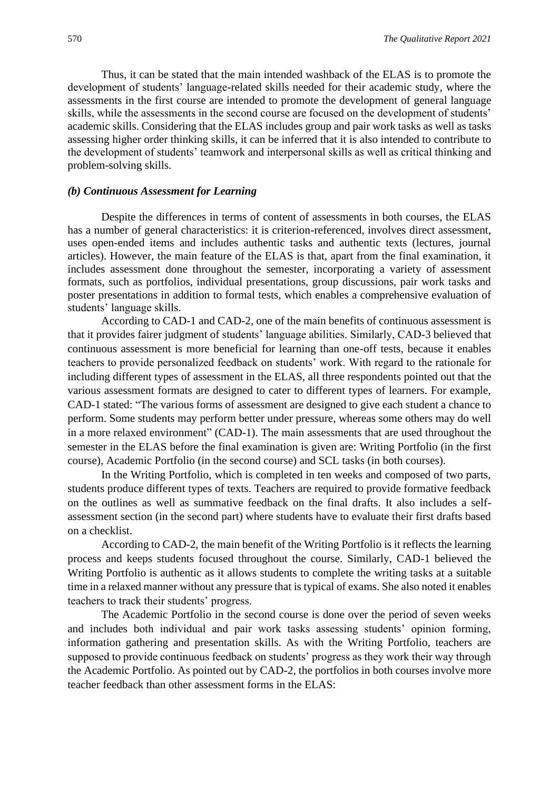Thus, it can be stated that the main intended washback of the ELAS is to promote the development of students' language-related skills needed for their academic study, where the assessments in the first course are intended to promote the development of general language skills, while the assessments in the second course are focused on the development of students' academic skills. Considering that the ELAS includes group and pair work tasks as well as tasks assessing higher order thinking skills, it can be inferred that it is also intended to contribute to the development of students' teamwork and interpersonal skills as well as critical thinking and problem-solving skills.

## *(b) Continuous Assessment for Learning*

Despite the differences in terms of content of assessments in both courses, the ELAS has a number of general characteristics: it is criterion-referenced, involves direct assessment, uses open-ended items and includes authentic tasks and authentic texts (lectures, journal articles). However, the main feature of the ELAS is that, apart from the final examination, it includes assessment done throughout the semester, incorporating a variety of assessment formats, such as portfolios, individual presentations, group discussions, pair work tasks and poster presentations in addition to formal tests, which enables a comprehensive evaluation of students' language skills.

According to CAD-1 and CAD-2, one of the main benefits of continuous assessment is that it provides fairer judgment of students' language abilities. Similarly, CAD-3 believed that continuous assessment is more beneficial for learning than one-off tests, because it enables teachers to provide personalized feedback on students' work. With regard to the rationale for including different types of assessment in the ELAS, all three respondents pointed out that the various assessment formats are designed to cater to different types of learners. For example, CAD-1 stated: "The various forms of assessment are designed to give each student a chance to perform. Some students may perform better under pressure, whereas some others may do well in a more relaxed environment" (CAD-1). The main assessments that are used throughout the semester in the ELAS before the final examination is given are: Writing Portfolio (in the first course), Academic Portfolio (in the second course) and SCL tasks (in both courses).

In the Writing Portfolio, which is completed in ten weeks and composed of two parts, students produce different types of texts. Teachers are required to provide formative feedback on the outlines as well as summative feedback on the final drafts. It also includes a selfassessment section (in the second part) where students have to evaluate their first drafts based on a checklist.

According to CAD-2, the main benefit of the Writing Portfolio is it reflects the learning process and keeps students focused throughout the course. Similarly, CAD-1 believed the Writing Portfolio is authentic as it allows students to complete the writing tasks at a suitable time in a relaxed manner without any pressure that is typical of exams. She also noted it enables teachers to track their students' progress.

The Academic Portfolio in the second course is done over the period of seven weeks and includes both individual and pair work tasks assessing students' opinion forming, information gathering and presentation skills. As with the Writing Portfolio, teachers are supposed to provide continuous feedback on students' progress as they work their way through the Academic Portfolio. As pointed out by CAD-2, the portfolios in both courses involve more teacher feedback than other assessment forms in the ELAS: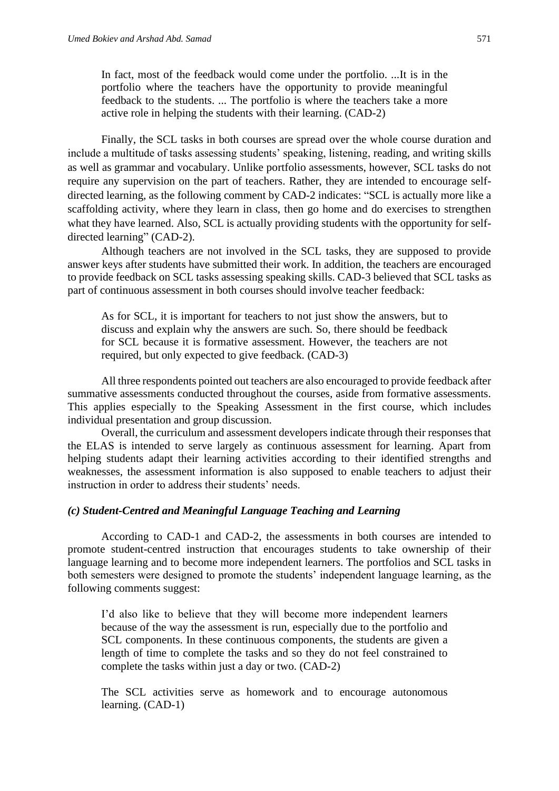In fact, most of the feedback would come under the portfolio. ...It is in the portfolio where the teachers have the opportunity to provide meaningful feedback to the students. ... The portfolio is where the teachers take a more active role in helping the students with their learning. (CAD-2)

Finally, the SCL tasks in both courses are spread over the whole course duration and include a multitude of tasks assessing students' speaking, listening, reading, and writing skills as well as grammar and vocabulary. Unlike portfolio assessments, however, SCL tasks do not require any supervision on the part of teachers. Rather, they are intended to encourage selfdirected learning, as the following comment by CAD-2 indicates: "SCL is actually more like a scaffolding activity, where they learn in class, then go home and do exercises to strengthen what they have learned. Also, SCL is actually providing students with the opportunity for selfdirected learning" (CAD-2).

Although teachers are not involved in the SCL tasks, they are supposed to provide answer keys after students have submitted their work. In addition, the teachers are encouraged to provide feedback on SCL tasks assessing speaking skills. CAD-3 believed that SCL tasks as part of continuous assessment in both courses should involve teacher feedback:

As for SCL, it is important for teachers to not just show the answers, but to discuss and explain why the answers are such. So, there should be feedback for SCL because it is formative assessment. However, the teachers are not required, but only expected to give feedback. (CAD-3)

All three respondents pointed out teachers are also encouraged to provide feedback after summative assessments conducted throughout the courses, aside from formative assessments. This applies especially to the Speaking Assessment in the first course, which includes individual presentation and group discussion.

Overall, the curriculum and assessment developers indicate through their responses that the ELAS is intended to serve largely as continuous assessment for learning. Apart from helping students adapt their learning activities according to their identified strengths and weaknesses, the assessment information is also supposed to enable teachers to adjust their instruction in order to address their students' needs.

## *(c) Student-Centred and Meaningful Language Teaching and Learning*

According to CAD-1 and CAD-2, the assessments in both courses are intended to promote student-centred instruction that encourages students to take ownership of their language learning and to become more independent learners. The portfolios and SCL tasks in both semesters were designed to promote the students' independent language learning, as the following comments suggest:

I'd also like to believe that they will become more independent learners because of the way the assessment is run, especially due to the portfolio and SCL components. In these continuous components, the students are given a length of time to complete the tasks and so they do not feel constrained to complete the tasks within just a day or two. (CAD-2)

The SCL activities serve as homework and to encourage autonomous learning. (CAD-1)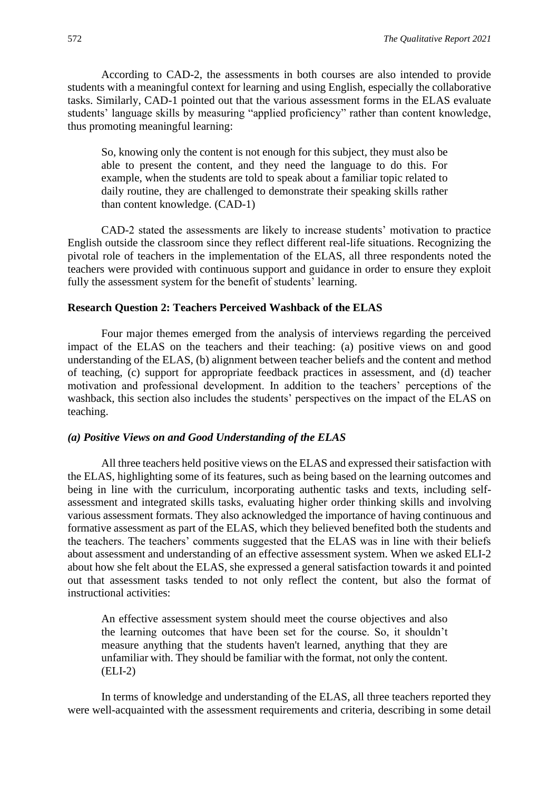According to CAD-2, the assessments in both courses are also intended to provide students with a meaningful context for learning and using English, especially the collaborative tasks. Similarly, CAD-1 pointed out that the various assessment forms in the ELAS evaluate students' language skills by measuring "applied proficiency" rather than content knowledge, thus promoting meaningful learning:

So, knowing only the content is not enough for this subject, they must also be able to present the content, and they need the language to do this. For example, when the students are told to speak about a familiar topic related to daily routine, they are challenged to demonstrate their speaking skills rather than content knowledge. (CAD-1)

CAD-2 stated the assessments are likely to increase students' motivation to practice English outside the classroom since they reflect different real-life situations. Recognizing the pivotal role of teachers in the implementation of the ELAS, all three respondents noted the teachers were provided with continuous support and guidance in order to ensure they exploit fully the assessment system for the benefit of students' learning.

## **Research Question 2: Teachers Perceived Washback of the ELAS**

Four major themes emerged from the analysis of interviews regarding the perceived impact of the ELAS on the teachers and their teaching: (a) positive views on and good understanding of the ELAS, (b) alignment between teacher beliefs and the content and method of teaching, (c) support for appropriate feedback practices in assessment, and (d) teacher motivation and professional development. In addition to the teachers' perceptions of the washback, this section also includes the students' perspectives on the impact of the ELAS on teaching.

## *(a) Positive Views on and Good Understanding of the ELAS*

All three teachers held positive views on the ELAS and expressed their satisfaction with the ELAS, highlighting some of its features, such as being based on the learning outcomes and being in line with the curriculum, incorporating authentic tasks and texts, including selfassessment and integrated skills tasks, evaluating higher order thinking skills and involving various assessment formats. They also acknowledged the importance of having continuous and formative assessment as part of the ELAS, which they believed benefited both the students and the teachers. The teachers' comments suggested that the ELAS was in line with their beliefs about assessment and understanding of an effective assessment system. When we asked ELI-2 about how she felt about the ELAS, she expressed a general satisfaction towards it and pointed out that assessment tasks tended to not only reflect the content, but also the format of instructional activities:

An effective assessment system should meet the course objectives and also the learning outcomes that have been set for the course. So, it shouldn't measure anything that the students haven't learned, anything that they are unfamiliar with. They should be familiar with the format, not only the content. (ELI-2)

In terms of knowledge and understanding of the ELAS, all three teachers reported they were well-acquainted with the assessment requirements and criteria, describing in some detail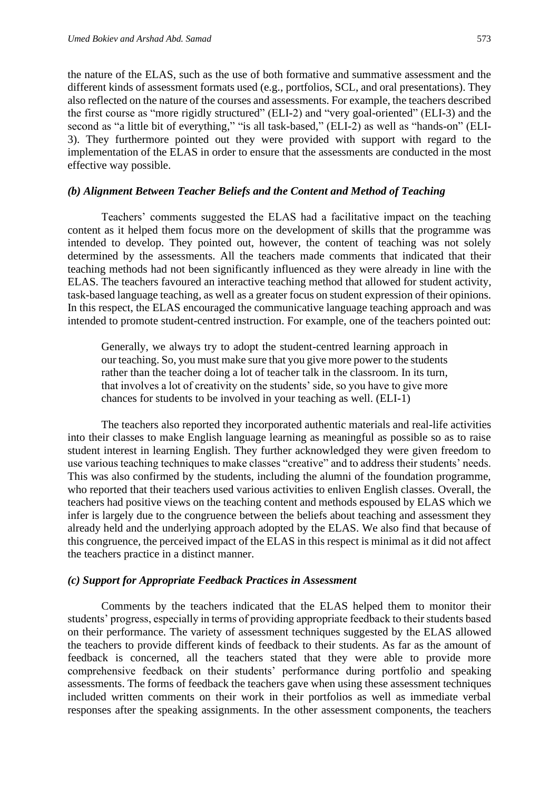the nature of the ELAS, such as the use of both formative and summative assessment and the different kinds of assessment formats used (e.g., portfolios, SCL, and oral presentations). They also reflected on the nature of the courses and assessments. For example, the teachers described the first course as "more rigidly structured" (ELI-2) and "very goal-oriented" (ELI-3) and the second as "a little bit of everything," "is all task-based," (ELI-2) as well as "hands-on" (ELI-3). They furthermore pointed out they were provided with support with regard to the implementation of the ELAS in order to ensure that the assessments are conducted in the most effective way possible.

## *(b) Alignment Between Teacher Beliefs and the Content and Method of Teaching*

Teachers' comments suggested the ELAS had a facilitative impact on the teaching content as it helped them focus more on the development of skills that the programme was intended to develop. They pointed out, however, the content of teaching was not solely determined by the assessments. All the teachers made comments that indicated that their teaching methods had not been significantly influenced as they were already in line with the ELAS. The teachers favoured an interactive teaching method that allowed for student activity, task-based language teaching, as well as a greater focus on student expression of their opinions. In this respect, the ELAS encouraged the communicative language teaching approach and was intended to promote student-centred instruction. For example, one of the teachers pointed out:

Generally, we always try to adopt the student-centred learning approach in our teaching. So, you must make sure that you give more power to the students rather than the teacher doing a lot of teacher talk in the classroom. In its turn, that involves a lot of creativity on the students' side, so you have to give more chances for students to be involved in your teaching as well. (ELI-1)

The teachers also reported they incorporated authentic materials and real-life activities into their classes to make English language learning as meaningful as possible so as to raise student interest in learning English. They further acknowledged they were given freedom to use various teaching techniques to make classes "creative" and to address their students' needs. This was also confirmed by the students, including the alumni of the foundation programme, who reported that their teachers used various activities to enliven English classes. Overall, the teachers had positive views on the teaching content and methods espoused by ELAS which we infer is largely due to the congruence between the beliefs about teaching and assessment they already held and the underlying approach adopted by the ELAS. We also find that because of this congruence, the perceived impact of the ELAS in this respect is minimal as it did not affect the teachers practice in a distinct manner.

## *(c) Support for Appropriate Feedback Practices in Assessment*

Comments by the teachers indicated that the ELAS helped them to monitor their students' progress, especially in terms of providing appropriate feedback to their students based on their performance. The variety of assessment techniques suggested by the ELAS allowed the teachers to provide different kinds of feedback to their students. As far as the amount of feedback is concerned, all the teachers stated that they were able to provide more comprehensive feedback on their students' performance during portfolio and speaking assessments. The forms of feedback the teachers gave when using these assessment techniques included written comments on their work in their portfolios as well as immediate verbal responses after the speaking assignments. In the other assessment components, the teachers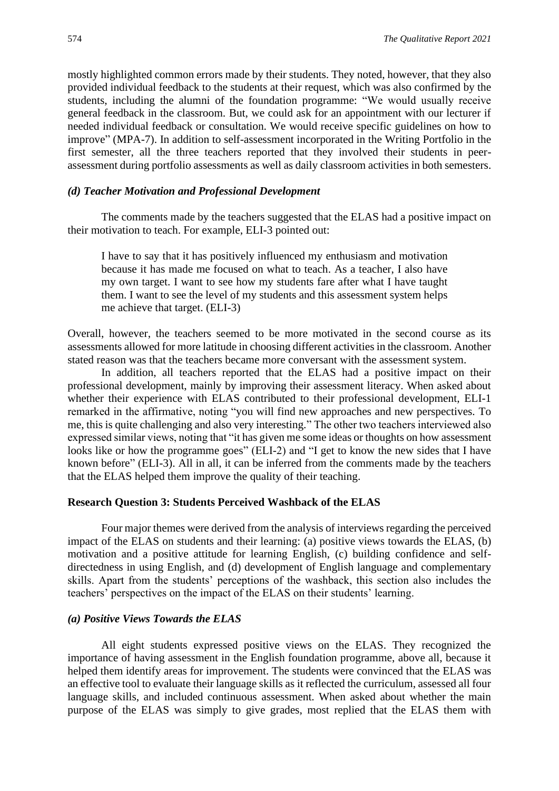mostly highlighted common errors made by their students. They noted, however, that they also provided individual feedback to the students at their request, which was also confirmed by the students, including the alumni of the foundation programme: "We would usually receive general feedback in the classroom. But, we could ask for an appointment with our lecturer if needed individual feedback or consultation. We would receive specific guidelines on how to improve" (MPA-7). In addition to self-assessment incorporated in the Writing Portfolio in the first semester, all the three teachers reported that they involved their students in peerassessment during portfolio assessments as well as daily classroom activities in both semesters.

## *(d) Teacher Motivation and Professional Development*

The comments made by the teachers suggested that the ELAS had a positive impact on their motivation to teach. For example, ELI-3 pointed out:

I have to say that it has positively influenced my enthusiasm and motivation because it has made me focused on what to teach. As a teacher, I also have my own target. I want to see how my students fare after what I have taught them. I want to see the level of my students and this assessment system helps me achieve that target. (ELI-3)

Overall, however, the teachers seemed to be more motivated in the second course as its assessments allowed for more latitude in choosing different activities in the classroom. Another stated reason was that the teachers became more conversant with the assessment system.

In addition, all teachers reported that the ELAS had a positive impact on their professional development, mainly by improving their assessment literacy. When asked about whether their experience with ELAS contributed to their professional development, ELI-1 remarked in the affirmative, noting "you will find new approaches and new perspectives. To me, this is quite challenging and also very interesting*.*" The other two teachers interviewed also expressed similar views, noting that "it has given me some ideas or thoughts on how assessment looks like or how the programme goes" (ELI-2) and "I get to know the new sides that I have known before" (ELI-3). All in all, it can be inferred from the comments made by the teachers that the ELAS helped them improve the quality of their teaching.

## **Research Question 3: Students Perceived Washback of the ELAS**

Four major themes were derived from the analysis of interviews regarding the perceived impact of the ELAS on students and their learning: (a) positive views towards the ELAS, (b) motivation and a positive attitude for learning English, (c) building confidence and selfdirectedness in using English, and (d) development of English language and complementary skills. Apart from the students' perceptions of the washback, this section also includes the teachers' perspectives on the impact of the ELAS on their students' learning.

#### *(a) Positive Views Towards the ELAS*

All eight students expressed positive views on the ELAS. They recognized the importance of having assessment in the English foundation programme, above all, because it helped them identify areas for improvement. The students were convinced that the ELAS was an effective tool to evaluate their language skills as it reflected the curriculum, assessed all four language skills, and included continuous assessment. When asked about whether the main purpose of the ELAS was simply to give grades, most replied that the ELAS them with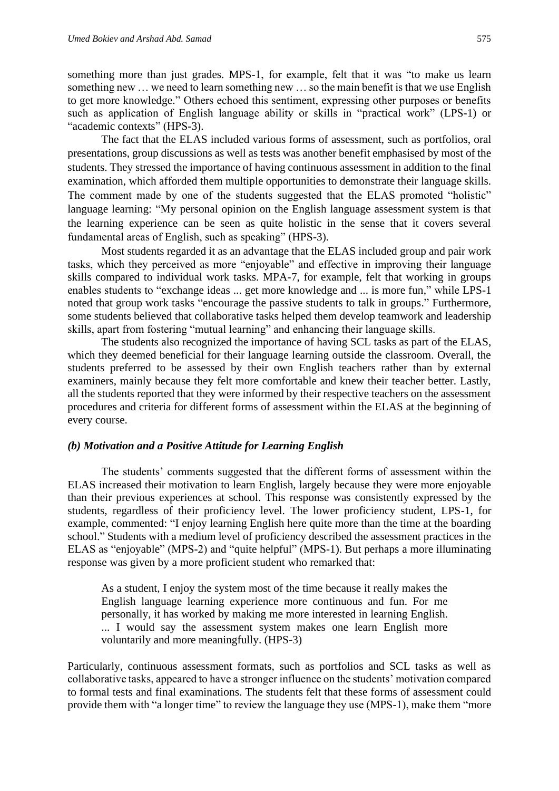something more than just grades. MPS-1, for example, felt that it was "to make us learn something new … we need to learn something new … so the main benefit is that we use English to get more knowledge." Others echoed this sentiment, expressing other purposes or benefits such as application of English language ability or skills in "practical work" (LPS-1) or "academic contexts" (HPS-3).

The fact that the ELAS included various forms of assessment, such as portfolios, oral presentations, group discussions as well as tests was another benefit emphasised by most of the students. They stressed the importance of having continuous assessment in addition to the final examination, which afforded them multiple opportunities to demonstrate their language skills. The comment made by one of the students suggested that the ELAS promoted "holistic" language learning: "My personal opinion on the English language assessment system is that the learning experience can be seen as quite holistic in the sense that it covers several fundamental areas of English, such as speaking" (HPS-3).

Most students regarded it as an advantage that the ELAS included group and pair work tasks, which they perceived as more "enjoyable" and effective in improving their language skills compared to individual work tasks. MPA-7, for example, felt that working in groups enables students to "exchange ideas ... get more knowledge and ... is more fun," while LPS-1 noted that group work tasks "encourage the passive students to talk in groups." Furthermore, some students believed that collaborative tasks helped them develop teamwork and leadership skills, apart from fostering "mutual learning" and enhancing their language skills.

The students also recognized the importance of having SCL tasks as part of the ELAS, which they deemed beneficial for their language learning outside the classroom. Overall, the students preferred to be assessed by their own English teachers rather than by external examiners, mainly because they felt more comfortable and knew their teacher better. Lastly, all the students reported that they were informed by their respective teachers on the assessment procedures and criteria for different forms of assessment within the ELAS at the beginning of every course.

## *(b) Motivation and a Positive Attitude for Learning English*

The students' comments suggested that the different forms of assessment within the ELAS increased their motivation to learn English, largely because they were more enjoyable than their previous experiences at school. This response was consistently expressed by the students, regardless of their proficiency level. The lower proficiency student, LPS-1, for example, commented: "I enjoy learning English here quite more than the time at the boarding school." Students with a medium level of proficiency described the assessment practices in the ELAS as "enjoyable" (MPS-2) and "quite helpful" (MPS-1). But perhaps a more illuminating response was given by a more proficient student who remarked that:

As a student, I enjoy the system most of the time because it really makes the English language learning experience more continuous and fun. For me personally, it has worked by making me more interested in learning English. ... I would say the assessment system makes one learn English more voluntarily and more meaningfully. (HPS-3)

Particularly, continuous assessment formats, such as portfolios and SCL tasks as well as collaborative tasks, appeared to have a stronger influence on the students' motivation compared to formal tests and final examinations. The students felt that these forms of assessment could provide them with "a longer time" to review the language they use (MPS-1), make them "more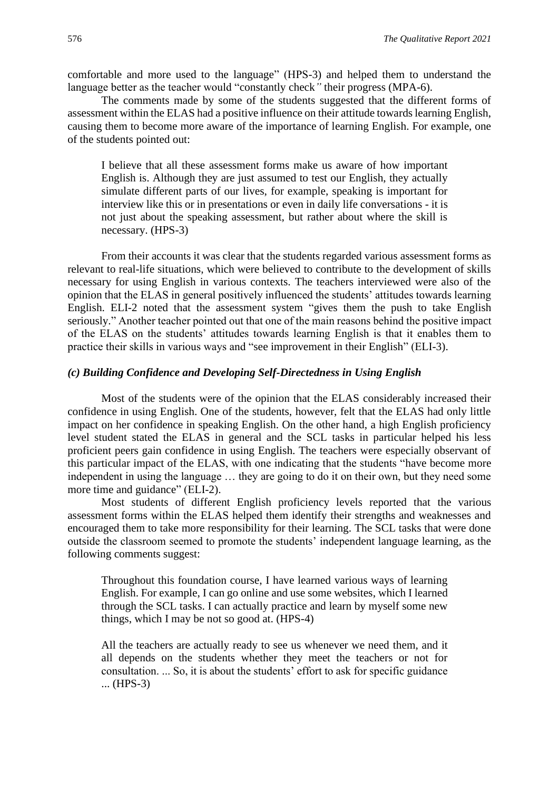comfortable and more used to the language" (HPS-3) and helped them to understand the language better as the teacher would "constantly check*"* their progress (MPA-6).

The comments made by some of the students suggested that the different forms of assessment within the ELAS had a positive influence on their attitude towards learning English, causing them to become more aware of the importance of learning English. For example, one of the students pointed out:

I believe that all these assessment forms make us aware of how important English is. Although they are just assumed to test our English, they actually simulate different parts of our lives, for example, speaking is important for interview like this or in presentations or even in daily life conversations - it is not just about the speaking assessment, but rather about where the skill is necessary. (HPS-3)

From their accounts it was clear that the students regarded various assessment forms as relevant to real-life situations, which were believed to contribute to the development of skills necessary for using English in various contexts. The teachers interviewed were also of the opinion that the ELAS in general positively influenced the students' attitudes towards learning English. ELI-2 noted that the assessment system "gives them the push to take English seriously." Another teacher pointed out that one of the main reasons behind the positive impact of the ELAS on the students' attitudes towards learning English is that it enables them to practice their skills in various ways and "see improvement in their English" (ELI-3).

## *(c) Building Confidence and Developing Self-Directedness in Using English*

Most of the students were of the opinion that the ELAS considerably increased their confidence in using English. One of the students, however, felt that the ELAS had only little impact on her confidence in speaking English. On the other hand, a high English proficiency level student stated the ELAS in general and the SCL tasks in particular helped his less proficient peers gain confidence in using English. The teachers were especially observant of this particular impact of the ELAS, with one indicating that the students "have become more independent in using the language … they are going to do it on their own, but they need some more time and guidance" (ELI-2).

Most students of different English proficiency levels reported that the various assessment forms within the ELAS helped them identify their strengths and weaknesses and encouraged them to take more responsibility for their learning. The SCL tasks that were done outside the classroom seemed to promote the students' independent language learning, as the following comments suggest:

Throughout this foundation course, I have learned various ways of learning English. For example, I can go online and use some websites, which I learned through the SCL tasks. I can actually practice and learn by myself some new things, which I may be not so good at. (HPS-4)

All the teachers are actually ready to see us whenever we need them, and it all depends on the students whether they meet the teachers or not for consultation. ... So, it is about the students' effort to ask for specific guidance ... (HPS-3)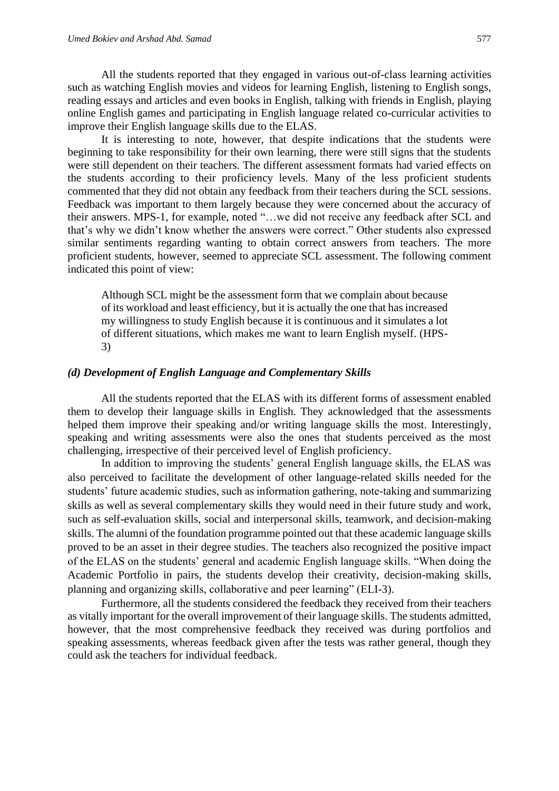All the students reported that they engaged in various out-of-class learning activities such as watching English movies and videos for learning English, listening to English songs, reading essays and articles and even books in English, talking with friends in English, playing online English games and participating in English language related co-curricular activities to improve their English language skills due to the ELAS.

It is interesting to note, however, that despite indications that the students were beginning to take responsibility for their own learning, there were still signs that the students were still dependent on their teachers. The different assessment formats had varied effects on the students according to their proficiency levels. Many of the less proficient students commented that they did not obtain any feedback from their teachers during the SCL sessions. Feedback was important to them largely because they were concerned about the accuracy of their answers. MPS-1, for example, noted "…we did not receive any feedback after SCL and that's why we didn't know whether the answers were correct." Other students also expressed similar sentiments regarding wanting to obtain correct answers from teachers. The more proficient students, however, seemed to appreciate SCL assessment. The following comment indicated this point of view:

Although SCL might be the assessment form that we complain about because of its workload and least efficiency, but it is actually the one that has increased my willingness to study English because it is continuous and it simulates a lot of different situations, which makes me want to learn English myself. (HPS-3)

## *(d) Development of English Language and Complementary Skills*

All the students reported that the ELAS with its different forms of assessment enabled them to develop their language skills in English. They acknowledged that the assessments helped them improve their speaking and/or writing language skills the most. Interestingly, speaking and writing assessments were also the ones that students perceived as the most challenging, irrespective of their perceived level of English proficiency.

In addition to improving the students' general English language skills, the ELAS was also perceived to facilitate the development of other language-related skills needed for the students' future academic studies, such as information gathering, note-taking and summarizing skills as well as several complementary skills they would need in their future study and work, such as self-evaluation skills, social and interpersonal skills, teamwork, and decision-making skills. The alumni of the foundation programme pointed out that these academic language skills proved to be an asset in their degree studies. The teachers also recognized the positive impact of the ELAS on the students' general and academic English language skills. "When doing the Academic Portfolio in pairs, the students develop their creativity, decision-making skills, planning and organizing skills, collaborative and peer learning" (ELI-3).

Furthermore, all the students considered the feedback they received from their teachers as vitally important for the overall improvement of their language skills. The students admitted, however, that the most comprehensive feedback they received was during portfolios and speaking assessments, whereas feedback given after the tests was rather general, though they could ask the teachers for individual feedback.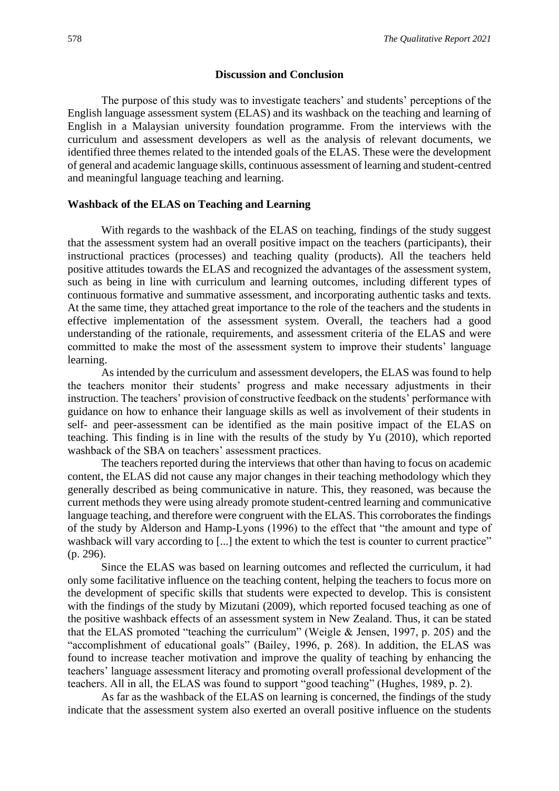## **Discussion and Conclusion**

The purpose of this study was to investigate teachers' and students' perceptions of the English language assessment system (ELAS) and its washback on the teaching and learning of English in a Malaysian university foundation programme. From the interviews with the curriculum and assessment developers as well as the analysis of relevant documents, we identified three themes related to the intended goals of the ELAS. These were the development of general and academic language skills, continuous assessment of learning and student-centred and meaningful language teaching and learning.

## **Washback of the ELAS on Teaching and Learning**

With regards to the washback of the ELAS on teaching, findings of the study suggest that the assessment system had an overall positive impact on the teachers (participants), their instructional practices (processes) and teaching quality (products). All the teachers held positive attitudes towards the ELAS and recognized the advantages of the assessment system, such as being in line with curriculum and learning outcomes, including different types of continuous formative and summative assessment, and incorporating authentic tasks and texts. At the same time, they attached great importance to the role of the teachers and the students in effective implementation of the assessment system. Overall, the teachers had a good understanding of the rationale, requirements, and assessment criteria of the ELAS and were committed to make the most of the assessment system to improve their students' language learning.

As intended by the curriculum and assessment developers, the ELAS was found to help the teachers monitor their students' progress and make necessary adjustments in their instruction. The teachers' provision of constructive feedback on the students' performance with guidance on how to enhance their language skills as well as involvement of their students in self- and peer-assessment can be identified as the main positive impact of the ELAS on teaching. This finding is in line with the results of the study by Yu (2010), which reported washback of the SBA on teachers' assessment practices.

The teachers reported during the interviews that other than having to focus on academic content, the ELAS did not cause any major changes in their teaching methodology which they generally described as being communicative in nature. This, they reasoned, was because the current methods they were using already promote student-centred learning and communicative language teaching, and therefore were congruent with the ELAS. This corroborates the findings of the study by Alderson and Hamp-Lyons (1996) to the effect that "the amount and type of washback will vary according to [...] the extent to which the test is counter to current practice" (p. 296).

Since the ELAS was based on learning outcomes and reflected the curriculum, it had only some facilitative influence on the teaching content, helping the teachers to focus more on the development of specific skills that students were expected to develop. This is consistent with the findings of the study by Mizutani (2009), which reported focused teaching as one of the positive washback effects of an assessment system in New Zealand. Thus, it can be stated that the ELAS promoted "teaching the curriculum" (Weigle & Jensen, 1997, p. 205) and the "accomplishment of educational goals" (Bailey, 1996, p. 268). In addition, the ELAS was found to increase teacher motivation and improve the quality of teaching by enhancing the teachers' language assessment literacy and promoting overall professional development of the teachers. All in all, the ELAS was found to support "good teaching" (Hughes, 1989, p. 2).

As far as the washback of the ELAS on learning is concerned, the findings of the study indicate that the assessment system also exerted an overall positive influence on the students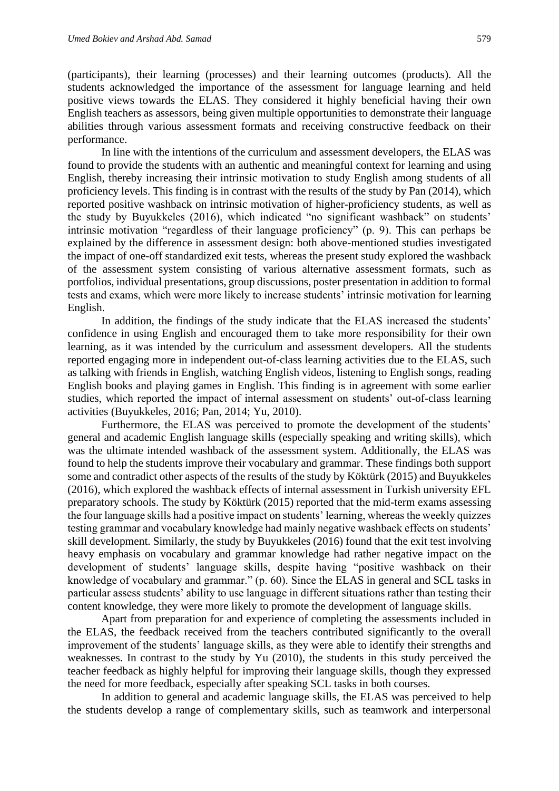(participants), their learning (processes) and their learning outcomes (products). All the students acknowledged the importance of the assessment for language learning and held positive views towards the ELAS. They considered it highly beneficial having their own English teachers as assessors, being given multiple opportunities to demonstrate their language abilities through various assessment formats and receiving constructive feedback on their performance.

In line with the intentions of the curriculum and assessment developers, the ELAS was found to provide the students with an authentic and meaningful context for learning and using English, thereby increasing their intrinsic motivation to study English among students of all proficiency levels. This finding is in contrast with the results of the study by Pan (2014), which reported positive washback on intrinsic motivation of higher-proficiency students, as well as the study by Buyukkeles (2016), which indicated "no significant washback" on students' intrinsic motivation "regardless of their language proficiency" (p. 9). This can perhaps be explained by the difference in assessment design: both above-mentioned studies investigated the impact of one-off standardized exit tests, whereas the present study explored the washback of the assessment system consisting of various alternative assessment formats, such as portfolios, individual presentations, group discussions, poster presentation in addition to formal tests and exams, which were more likely to increase students' intrinsic motivation for learning English.

In addition, the findings of the study indicate that the ELAS increased the students' confidence in using English and encouraged them to take more responsibility for their own learning, as it was intended by the curriculum and assessment developers. All the students reported engaging more in independent out-of-class learning activities due to the ELAS, such as talking with friends in English, watching English videos, listening to English songs, reading English books and playing games in English. This finding is in agreement with some earlier studies, which reported the impact of internal assessment on students' out-of-class learning activities (Buyukkeles, 2016; Pan, 2014; Yu, 2010).

Furthermore, the ELAS was perceived to promote the development of the students' general and academic English language skills (especially speaking and writing skills), which was the ultimate intended washback of the assessment system. Additionally, the ELAS was found to help the students improve their vocabulary and grammar. These findings both support some and contradict other aspects of the results of the study by Köktürk (2015) and Buyukkeles (2016), which explored the washback effects of internal assessment in Turkish university EFL preparatory schools. The study by Köktürk (2015) reported that the mid-term exams assessing the four language skills had a positive impact on students' learning, whereas the weekly quizzes testing grammar and vocabulary knowledge had mainly negative washback effects on students' skill development. Similarly, the study by Buyukkeles (2016) found that the exit test involving heavy emphasis on vocabulary and grammar knowledge had rather negative impact on the development of students' language skills, despite having "positive washback on their knowledge of vocabulary and grammar." (p. 60). Since the ELAS in general and SCL tasks in particular assess students' ability to use language in different situations rather than testing their content knowledge, they were more likely to promote the development of language skills.

Apart from preparation for and experience of completing the assessments included in the ELAS, the feedback received from the teachers contributed significantly to the overall improvement of the students' language skills, as they were able to identify their strengths and weaknesses. In contrast to the study by Yu (2010), the students in this study perceived the teacher feedback as highly helpful for improving their language skills, though they expressed the need for more feedback, especially after speaking SCL tasks in both courses.

In addition to general and academic language skills, the ELAS was perceived to help the students develop a range of complementary skills, such as teamwork and interpersonal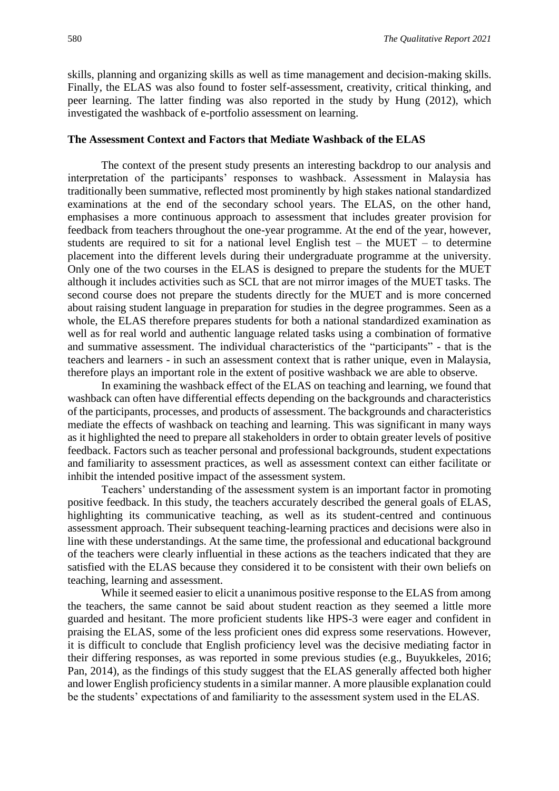skills, planning and organizing skills as well as time management and decision-making skills. Finally, the ELAS was also found to foster self-assessment, creativity, critical thinking, and peer learning. The latter finding was also reported in the study by Hung (2012), which investigated the washback of e-portfolio assessment on learning.

## **The Assessment Context and Factors that Mediate Washback of the ELAS**

The context of the present study presents an interesting backdrop to our analysis and interpretation of the participants' responses to washback. Assessment in Malaysia has traditionally been summative, reflected most prominently by high stakes national standardized examinations at the end of the secondary school years. The ELAS, on the other hand, emphasises a more continuous approach to assessment that includes greater provision for feedback from teachers throughout the one-year programme. At the end of the year, however, students are required to sit for a national level English test – the MUET – to determine placement into the different levels during their undergraduate programme at the university. Only one of the two courses in the ELAS is designed to prepare the students for the MUET although it includes activities such as SCL that are not mirror images of the MUET tasks. The second course does not prepare the students directly for the MUET and is more concerned about raising student language in preparation for studies in the degree programmes. Seen as a whole, the ELAS therefore prepares students for both a national standardized examination as well as for real world and authentic language related tasks using a combination of formative and summative assessment. The individual characteristics of the "participants" - that is the teachers and learners - in such an assessment context that is rather unique, even in Malaysia, therefore plays an important role in the extent of positive washback we are able to observe.

In examining the washback effect of the ELAS on teaching and learning, we found that washback can often have differential effects depending on the backgrounds and characteristics of the participants, processes, and products of assessment. The backgrounds and characteristics mediate the effects of washback on teaching and learning. This was significant in many ways as it highlighted the need to prepare all stakeholders in order to obtain greater levels of positive feedback. Factors such as teacher personal and professional backgrounds, student expectations and familiarity to assessment practices, as well as assessment context can either facilitate or inhibit the intended positive impact of the assessment system.

Teachers' understanding of the assessment system is an important factor in promoting positive feedback. In this study, the teachers accurately described the general goals of ELAS, highlighting its communicative teaching, as well as its student-centred and continuous assessment approach. Their subsequent teaching-learning practices and decisions were also in line with these understandings. At the same time, the professional and educational background of the teachers were clearly influential in these actions as the teachers indicated that they are satisfied with the ELAS because they considered it to be consistent with their own beliefs on teaching, learning and assessment.

While it seemed easier to elicit a unanimous positive response to the ELAS from among the teachers, the same cannot be said about student reaction as they seemed a little more guarded and hesitant. The more proficient students like HPS-3 were eager and confident in praising the ELAS, some of the less proficient ones did express some reservations. However, it is difficult to conclude that English proficiency level was the decisive mediating factor in their differing responses, as was reported in some previous studies (e.g., Buyukkeles, 2016; Pan, 2014), as the findings of this study suggest that the ELAS generally affected both higher and lower English proficiency students in a similar manner. A more plausible explanation could be the students' expectations of and familiarity to the assessment system used in the ELAS.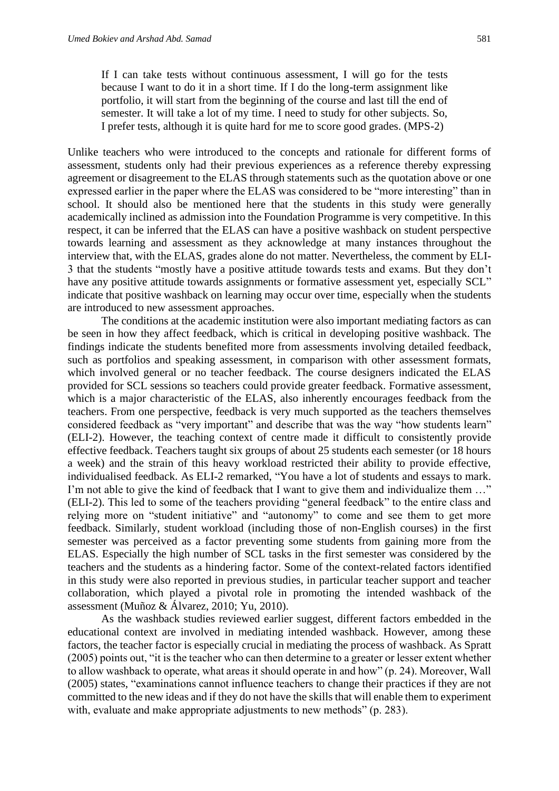If I can take tests without continuous assessment, I will go for the tests because I want to do it in a short time. If I do the long-term assignment like portfolio, it will start from the beginning of the course and last till the end of semester. It will take a lot of my time. I need to study for other subjects. So, I prefer tests, although it is quite hard for me to score good grades. (MPS-2)

Unlike teachers who were introduced to the concepts and rationale for different forms of assessment, students only had their previous experiences as a reference thereby expressing agreement or disagreement to the ELAS through statements such as the quotation above or one expressed earlier in the paper where the ELAS was considered to be "more interesting" than in school. It should also be mentioned here that the students in this study were generally academically inclined as admission into the Foundation Programme is very competitive. In this respect, it can be inferred that the ELAS can have a positive washback on student perspective towards learning and assessment as they acknowledge at many instances throughout the interview that, with the ELAS, grades alone do not matter. Nevertheless, the comment by ELI-3 that the students "mostly have a positive attitude towards tests and exams. But they don't have any positive attitude towards assignments or formative assessment yet, especially SCL" indicate that positive washback on learning may occur over time, especially when the students are introduced to new assessment approaches.

The conditions at the academic institution were also important mediating factors as can be seen in how they affect feedback, which is critical in developing positive washback. The findings indicate the students benefited more from assessments involving detailed feedback, such as portfolios and speaking assessment, in comparison with other assessment formats, which involved general or no teacher feedback. The course designers indicated the ELAS provided for SCL sessions so teachers could provide greater feedback. Formative assessment, which is a major characteristic of the ELAS, also inherently encourages feedback from the teachers. From one perspective, feedback is very much supported as the teachers themselves considered feedback as "very important" and describe that was the way "how students learn" (ELI-2). However, the teaching context of centre made it difficult to consistently provide effective feedback. Teachers taught six groups of about 25 students each semester (or 18 hours a week) and the strain of this heavy workload restricted their ability to provide effective, individualised feedback. As ELI-2 remarked, "You have a lot of students and essays to mark. I'm not able to give the kind of feedback that I want to give them and individualize them …" (ELI-2). This led to some of the teachers providing "general feedback" to the entire class and relying more on "student initiative" and "autonomy" to come and see them to get more feedback. Similarly, student workload (including those of non-English courses) in the first semester was perceived as a factor preventing some students from gaining more from the ELAS. Especially the high number of SCL tasks in the first semester was considered by the teachers and the students as a hindering factor. Some of the context-related factors identified in this study were also reported in previous studies, in particular teacher support and teacher collaboration, which played a pivotal role in promoting the intended washback of the assessment (Muñoz & Álvarez, 2010; Yu, 2010).

As the washback studies reviewed earlier suggest, different factors embedded in the educational context are involved in mediating intended washback. However, among these factors, the teacher factor is especially crucial in mediating the process of washback. As Spratt (2005) points out, "it is the teacher who can then determine to a greater or lesser extent whether to allow washback to operate, what areas it should operate in and how" (p. 24). Moreover, Wall (2005) states, "examinations cannot influence teachers to change their practices if they are not committed to the new ideas and if they do not have the skills that will enable them to experiment with, evaluate and make appropriate adjustments to new methods" (p. 283).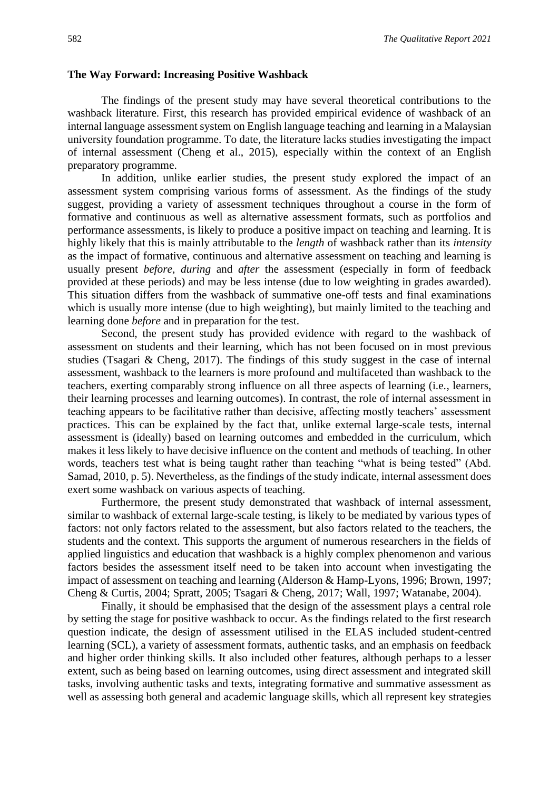## **The Way Forward: Increasing Positive Washback**

The findings of the present study may have several theoretical contributions to the washback literature. First, this research has provided empirical evidence of washback of an internal language assessment system on English language teaching and learning in a Malaysian university foundation programme. To date, the literature lacks studies investigating the impact of internal assessment (Cheng et al., 2015), especially within the context of an English preparatory programme.

In addition, unlike earlier studies, the present study explored the impact of an assessment system comprising various forms of assessment. As the findings of the study suggest, providing a variety of assessment techniques throughout a course in the form of formative and continuous as well as alternative assessment formats, such as portfolios and performance assessments, is likely to produce a positive impact on teaching and learning. It is highly likely that this is mainly attributable to the *length* of washback rather than its *intensity* as the impact of formative, continuous and alternative assessment on teaching and learning is usually present *before*, *during* and *after* the assessment (especially in form of feedback provided at these periods) and may be less intense (due to low weighting in grades awarded). This situation differs from the washback of summative one-off tests and final examinations which is usually more intense (due to high weighting), but mainly limited to the teaching and learning done *before* and in preparation for the test.

Second, the present study has provided evidence with regard to the washback of assessment on students and their learning, which has not been focused on in most previous studies (Tsagari & Cheng, 2017). The findings of this study suggest in the case of internal assessment, washback to the learners is more profound and multifaceted than washback to the teachers, exerting comparably strong influence on all three aspects of learning (i.e., learners, their learning processes and learning outcomes). In contrast, the role of internal assessment in teaching appears to be facilitative rather than decisive, affecting mostly teachers' assessment practices. This can be explained by the fact that, unlike external large-scale tests, internal assessment is (ideally) based on learning outcomes and embedded in the curriculum, which makes it less likely to have decisive influence on the content and methods of teaching. In other words, teachers test what is being taught rather than teaching "what is being tested" (Abd. Samad, 2010, p. 5). Nevertheless, as the findings of the study indicate, internal assessment does exert some washback on various aspects of teaching.

Furthermore, the present study demonstrated that washback of internal assessment, similar to washback of external large-scale testing, is likely to be mediated by various types of factors: not only factors related to the assessment, but also factors related to the teachers, the students and the context. This supports the argument of numerous researchers in the fields of applied linguistics and education that washback is a highly complex phenomenon and various factors besides the assessment itself need to be taken into account when investigating the impact of assessment on teaching and learning (Alderson & Hamp-Lyons, 1996; Brown, 1997; Cheng & Curtis, 2004; Spratt, 2005; Tsagari & Cheng, 2017; Wall, 1997; Watanabe, 2004).

Finally, it should be emphasised that the design of the assessment plays a central role by setting the stage for positive washback to occur. As the findings related to the first research question indicate, the design of assessment utilised in the ELAS included student-centred learning (SCL), a variety of assessment formats, authentic tasks, and an emphasis on feedback and higher order thinking skills. It also included other features, although perhaps to a lesser extent, such as being based on learning outcomes, using direct assessment and integrated skill tasks, involving authentic tasks and texts, integrating formative and summative assessment as well as assessing both general and academic language skills, which all represent key strategies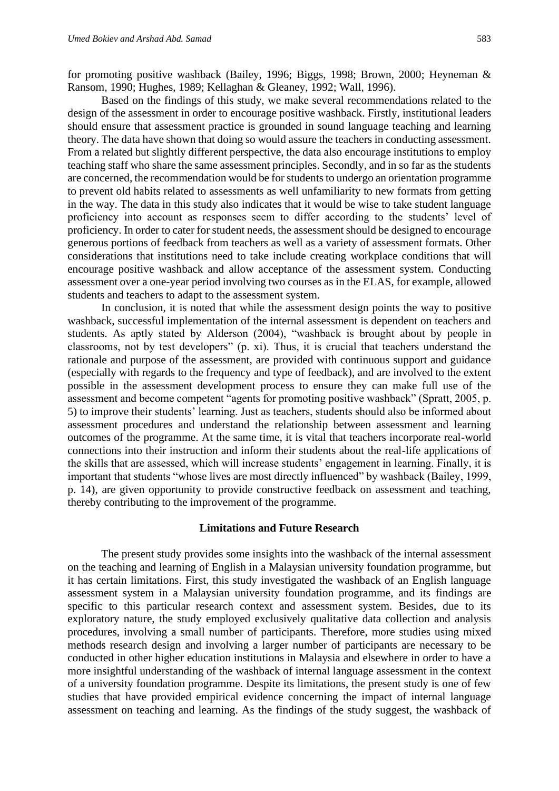for promoting positive washback (Bailey, 1996; Biggs, 1998; Brown, 2000; Heyneman & Ransom, 1990; Hughes, 1989; Kellaghan & Gleaney, 1992; Wall, 1996).

Based on the findings of this study, we make several recommendations related to the design of the assessment in order to encourage positive washback. Firstly, institutional leaders should ensure that assessment practice is grounded in sound language teaching and learning theory. The data have shown that doing so would assure the teachers in conducting assessment. From a related but slightly different perspective, the data also encourage institutions to employ teaching staff who share the same assessment principles. Secondly, and in so far as the students are concerned, the recommendation would be for students to undergo an orientation programme to prevent old habits related to assessments as well unfamiliarity to new formats from getting in the way. The data in this study also indicates that it would be wise to take student language proficiency into account as responses seem to differ according to the students' level of proficiency. In order to cater for student needs, the assessment should be designed to encourage generous portions of feedback from teachers as well as a variety of assessment formats. Other considerations that institutions need to take include creating workplace conditions that will encourage positive washback and allow acceptance of the assessment system. Conducting assessment over a one-year period involving two courses as in the ELAS, for example, allowed students and teachers to adapt to the assessment system.

In conclusion, it is noted that while the assessment design points the way to positive washback, successful implementation of the internal assessment is dependent on teachers and students. As aptly stated by Alderson (2004), "washback is brought about by people in classrooms, not by test developers" (p. xi). Thus, it is crucial that teachers understand the rationale and purpose of the assessment, are provided with continuous support and guidance (especially with regards to the frequency and type of feedback), and are involved to the extent possible in the assessment development process to ensure they can make full use of the assessment and become competent "agents for promoting positive washback" (Spratt, 2005, p. 5) to improve their students' learning. Just as teachers, students should also be informed about assessment procedures and understand the relationship between assessment and learning outcomes of the programme. At the same time, it is vital that teachers incorporate real-world connections into their instruction and inform their students about the real-life applications of the skills that are assessed, which will increase students' engagement in learning. Finally, it is important that students "whose lives are most directly influenced" by washback (Bailey, 1999, p. 14), are given opportunity to provide constructive feedback on assessment and teaching, thereby contributing to the improvement of the programme.

#### **Limitations and Future Research**

The present study provides some insights into the washback of the internal assessment on the teaching and learning of English in a Malaysian university foundation programme, but it has certain limitations. First, this study investigated the washback of an English language assessment system in a Malaysian university foundation programme, and its findings are specific to this particular research context and assessment system. Besides, due to its exploratory nature, the study employed exclusively qualitative data collection and analysis procedures, involving a small number of participants. Therefore, more studies using mixed methods research design and involving a larger number of participants are necessary to be conducted in other higher education institutions in Malaysia and elsewhere in order to have a more insightful understanding of the washback of internal language assessment in the context of a university foundation programme. Despite its limitations, the present study is one of few studies that have provided empirical evidence concerning the impact of internal language assessment on teaching and learning. As the findings of the study suggest, the washback of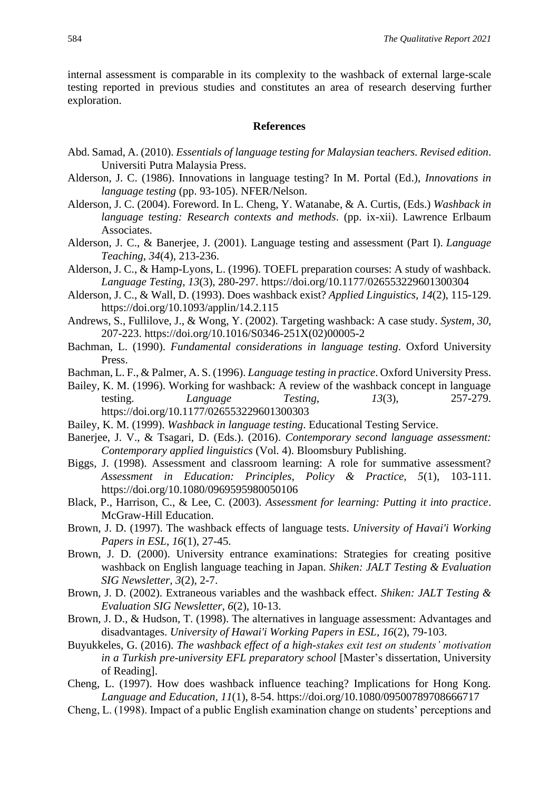internal assessment is comparable in its complexity to the washback of external large-scale testing reported in previous studies and constitutes an area of research deserving further exploration.

#### **References**

- Abd. Samad, A. (2010). *Essentials of language testing for Malaysian teachers. Revised edition*. Universiti Putra Malaysia Press.
- Alderson, J. C. (1986). Innovations in language testing? In M. Portal (Ed.), *Innovations in language testing* (pp. 93-105). NFER/Nelson.
- Alderson, J. C. (2004). Foreword. In L. Cheng, Y. Watanabe, & A. Curtis, (Eds.) *Washback in language testing: Research contexts and methods*. (pp. ix-xii). Lawrence Erlbaum Associates.
- Alderson, J. C., & Banerjee, J. (2001). Language testing and assessment (Part I). *Language Teaching*, *34*(4), 213-236.
- Alderson, J. C., & Hamp-Lyons, L. (1996). TOEFL preparation courses: A study of washback. *Language Testing, 13*(3), 280-297. https://doi.org/10.1177/026553229601300304
- Alderson, J. C., & Wall, D. (1993). Does washback exist? *Applied Linguistics, 14*(2), 115-129. https://doi.org/10.1093/applin/14.2.115
- Andrews, S., Fullilove, J., & Wong, Y. (2002). Targeting washback: A case study. *System, 30,*  207-223. https://doi.org/10.1016/S0346-251X(02)00005-2
- Bachman, L. (1990). *Fundamental considerations in language testing*. Oxford University Press.
- Bachman, L. F., & Palmer, A. S. (1996). *Language testing in practice*. Oxford University Press.
- Bailey, K. M. (1996). Working for washback: A review of the washback concept in language testing. *Language Testing, 13*(3), 257-279. https://doi.org/10.1177/026553229601300303
- Bailey, K. M. (1999). *Washback in language testing*. Educational Testing Service.
- Banerjee, J. V., & Tsagari, D. (Eds.). (2016). *Contemporary second language assessment: Contemporary applied linguistics* (Vol. 4). Bloomsbury Publishing.
- Biggs, J. (1998). Assessment and classroom learning: A role for summative assessment? *Assessment in Education: Principles, Policy & Practice, 5*(1), 103-111. https://doi.org/10.1080/0969595980050106
- Black, P., Harrison, C., & Lee, C. (2003). *Assessment for learning: Putting it into practice*. McGraw-Hill Education.
- Brown, J. D. (1997). The washback effects of language tests. *University of Havai'i Working Papers in ESL*, *16*(1), 27-45.
- Brown, J. D. (2000). University entrance examinations: Strategies for creating positive washback on English language teaching in Japan. *Shiken: JALT Testing & Evaluation SIG Newsletter, 3*(2), 2-7.
- Brown, J. D. (2002). Extraneous variables and the washback effect. *Shiken: JALT Testing & Evaluation SIG Newsletter, 6*(2), 10-13.
- Brown, J. D., & Hudson, T. (1998). The alternatives in language assessment: Advantages and disadvantages. *University of Hawai'i Working Papers in ESL*, *16*(2), 79-103.
- Buyukkeles, G. (2016). *The washback effect of a high-stakes exit test on students' motivation in a Turkish pre-university EFL preparatory school* [Master's dissertation, University of Reading].
- Cheng, L. (1997). How does washback influence teaching? Implications for Hong Kong. *Language and Education, 11*(1), 8-54. https://doi.org/10.1080/09500789708666717
- Cheng, L. (1998). Impact of a public English examination change on students' perceptions and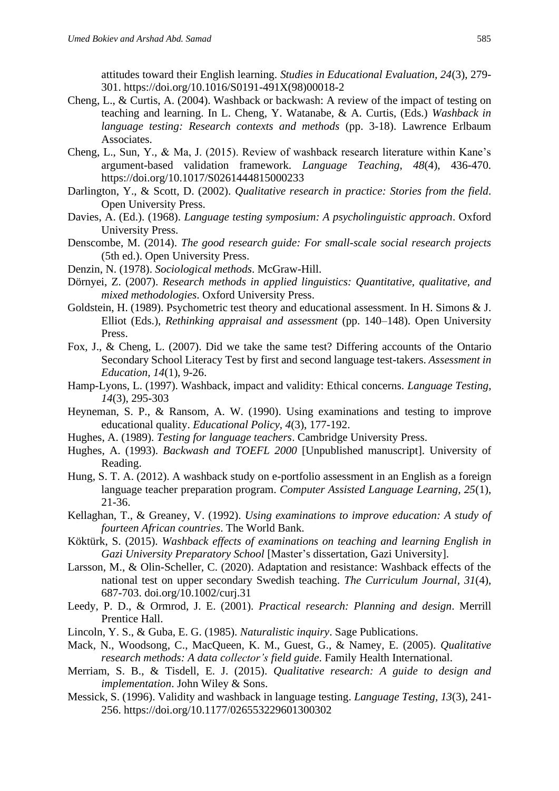attitudes toward their English learning. *Studies in Educational Evaluation, 24*(3), 279- 301. https://doi.org/10.1016/S0191-491X(98)00018-2

- Cheng, L., & Curtis, A. (2004). Washback or backwash: A review of the impact of testing on teaching and learning. In L. Cheng, Y. Watanabe, & A. Curtis, (Eds.) *Washback in language testing: Research contexts and methods* (pp. 3-18). Lawrence Erlbaum Associates.
- Cheng, L., Sun, Y., & Ma, J. (2015). Review of washback research literature within Kane's argument-based validation framework. *Language Teaching*, *48*(4), 436-470. https://doi.org/10.1017/S0261444815000233
- Darlington, Y., & Scott, D. (2002). *Qualitative research in practice: Stories from the field*. Open University Press.
- Davies, A. (Ed.). (1968). *Language testing symposium: A psycholinguistic approach*. Oxford University Press.
- Denscombe, M. (2014). *The good research guide: For small-scale social research projects* (5th ed.). Open University Press.
- Denzin, N. (1978). *Sociological methods*. McGraw-Hill.
- Dörnyei, Z. (2007). *Research methods in applied linguistics: Quantitative, qualitative, and mixed methodologies*. Oxford University Press.
- Goldstein, H. (1989). Psychometric test theory and educational assessment. In H. Simons & J. Elliot (Eds.), *Rethinking appraisal and assessment* (pp. 140–148). Open University Press.
- Fox, J., & Cheng, L. (2007). Did we take the same test? Differing accounts of the Ontario Secondary School Literacy Test by first and second language test-takers. *Assessment in Education, 14*(1), 9-26.
- Hamp-Lyons, L. (1997). Washback, impact and validity: Ethical concerns. *Language Testing, 14*(3), 295-303
- Heyneman, S. P., & Ransom, A. W. (1990). Using examinations and testing to improve educational quality. *Educational Policy*, *4*(3), 177-192.
- Hughes, A. (1989). *Testing for language teachers*. Cambridge University Press.
- Hughes, A. (1993). *Backwash and TOEFL 2000* [Unpublished manuscript]. University of Reading.
- Hung, S. T. A. (2012). A washback study on e-portfolio assessment in an English as a foreign language teacher preparation program. *Computer Assisted Language Learning, 25*(1), 21-36.
- Kellaghan, T., & Greaney, V. (1992). *Using examinations to improve education: A study of fourteen African countries*. The World Bank.
- Köktürk, S. (2015). *Washback effects of examinations on teaching and learning English in Gazi University Preparatory School* [Master's dissertation, Gazi University].
- Larsson, M., & Olin-Scheller, C. (2020). Adaptation and resistance: Washback effects of the national test on upper secondary Swedish teaching. *The Curriculum Journal, 31*(4), 687-703. doi.org/10.1002/curj.31
- Leedy, P. D., & Ormrod, J. E. (2001). *Practical research: Planning and design*. Merrill Prentice Hall.
- Lincoln, Y. S., & Guba, E. G. (1985). *Naturalistic inquiry*. Sage Publications.
- Mack, N., Woodsong, C., MacQueen, K. M., Guest, G., & Namey, E. (2005). *Qualitative research methods: A data collector's field guide*. Family Health International.
- Merriam, S. B., & Tisdell, E. J. (2015). *Qualitative research: A guide to design and implementation*. John Wiley & Sons.
- Messick, S. (1996). Validity and washback in language testing. *Language Testing, 13*(3), 241- 256. https://doi.org/10.1177/026553229601300302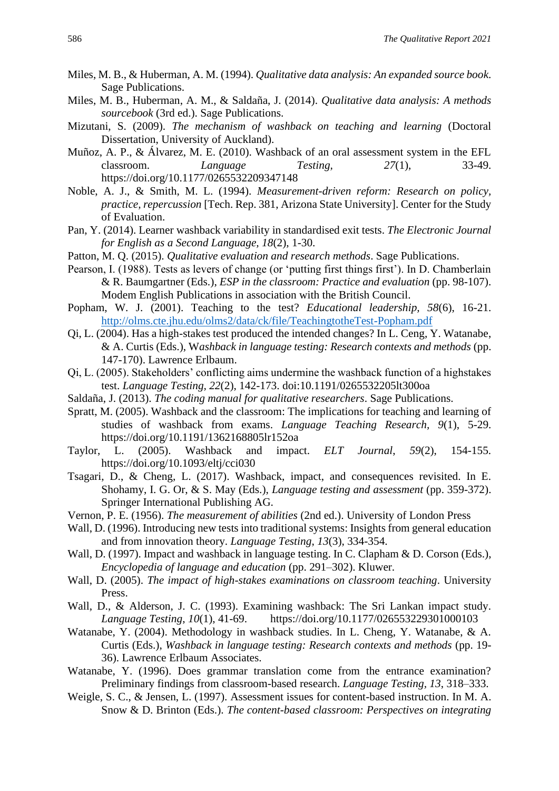- Miles, M. B., & Huberman, A. M. (1994). *Qualitative data analysis: An expanded source book*. Sage Publications.
- Miles, M. B., Huberman, A. M., & Saldaña, J. (2014). *Qualitative data analysis: A methods sourcebook* (3rd ed.). Sage Publications.
- Mizutani, S. (2009). *The mechanism of washback on teaching and learning* (Doctoral Dissertation, University of Auckland).
- Muñoz, A. P., & Álvarez, M. E. (2010). Washback of an oral assessment system in the EFL classroom. *Language Testing, 27*(1), 33-49. https://doi.org/10.1177/0265532209347148
- Noble, A. J., & Smith, M. L. (1994). *Measurement-driven reform: Research on policy, practice, repercussion* [Tech. Rep. 381, Arizona State University]. Center for the Study of Evaluation.
- Pan, Y. (2014). Learner washback variability in standardised exit tests. *The Electronic Journal for English as a Second Language, 18*(2), 1-30.
- Patton, M. Q. (2015). *Qualitative evaluation and research methods*. Sage Publications.
- Pearson, I. (1988). Tests as levers of change (or 'putting first things first'). In D. Chamberlain & R. Baumgartner (Eds.), *ESP in the classroom: Practice and evaluation* (pp. 98-107). Modem English Publications in association with the British Council.
- Popham, W. J. (2001). Teaching to the test? *Educational leadership, 58*(6), 16-21. <http://olms.cte.jhu.edu/olms2/data/ck/file/TeachingtotheTest-Popham.pdf>
- Qi, L. (2004). Has a high-stakes test produced the intended changes? In L. Ceng, Y. Watanabe, & A. Curtis (Eds.), W*ashback in language testing: Research contexts and methods* (pp. 147-170). Lawrence Erlbaum.
- Qi, L. (2005). Stakeholders' conflicting aims undermine the washback function of a highstakes test. *Language Testing, 22*(2), 142-173. doi:10.1191/0265532205lt300oa
- Saldaña, J. (2013). *The coding manual for qualitative researchers*. Sage Publications.
- Spratt, M. (2005). Washback and the classroom: The implications for teaching and learning of studies of washback from exams. *Language Teaching Research, 9*(1), 5-29. https://doi.org/10.1191/1362168805lr152oa
- Taylor, L. (2005). Washback and impact. *ELT Journal*, *59*(2), 154-155. https://doi.org/10.1093/eltj/cci030
- Tsagari, D., & Cheng, L. (2017). Washback, impact, and consequences revisited. In E. Shohamy, I. G. Or, & S. May (Eds.), *Language testing and assessment* (pp. 359-372). Springer International Publishing AG.
- Vernon, P. E. (1956). *The measurement of abilities* (2nd ed.). University of London Press
- Wall, D. (1996). Introducing new tests into traditional systems: Insights from general education and from innovation theory. *Language Testing*, *13*(3), 334-354.
- Wall, D. (1997). Impact and washback in language testing. In C. Clapham & D. Corson (Eds.), *Encyclopedia of language and education* (pp. 291–302). Kluwer.
- Wall, D. (2005). *The impact of high-stakes examinations on classroom teaching*. University Press.
- Wall, D., & Alderson, J. C. (1993). Examining washback: The Sri Lankan impact study. *Language Testing*, *10*(1), 41-69. https://doi.org/10.1177/026553229301000103
- Watanabe, Y. (2004). Methodology in washback studies. In L. Cheng, Y. Watanabe, & A. Curtis (Eds.), *Washback in language testing: Research contexts and methods* (pp. 19- 36). Lawrence Erlbaum Associates.
- Watanabe, Y. (1996). Does grammar translation come from the entrance examination? Preliminary findings from classroom-based research. *Language Testing, 13*, 318–333.
- Weigle, S. C., & Jensen, L. (1997). Assessment issues for content-based instruction. In M. A. Snow & D. Brinton (Eds.). *The content-based classroom: Perspectives on integrating*